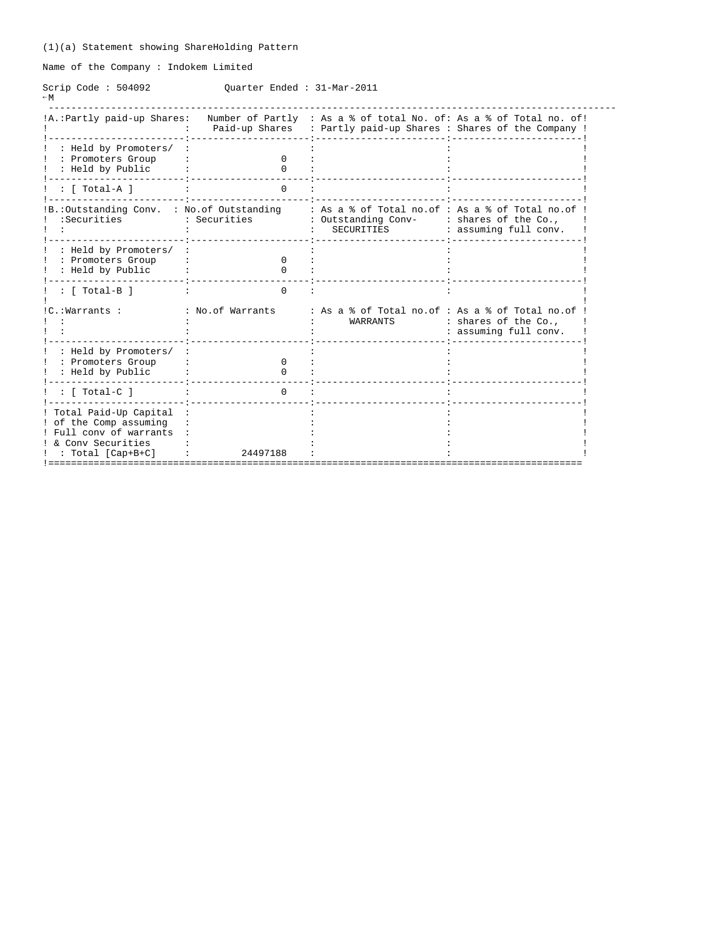Name of the Company : Indokem Limited

Scrip Code : 504092 Quarter Ended : 31-Mar-2011  $-W$ 

| !A.: Partly paid-up Shares:                                                                                                       |                  | Number of Partly : As a % of total No. of: As a % of Total no. of!<br>Paid-up Shares : Partly paid-up Shares : Shares of the Company ! |                                               |
|-----------------------------------------------------------------------------------------------------------------------------------|------------------|----------------------------------------------------------------------------------------------------------------------------------------|-----------------------------------------------|
| : Held by Promoters/<br>: Promoters Group<br>: Held by Public                                                                     | $^{\circ}$       |                                                                                                                                        |                                               |
| [ Total-A ]                                                                                                                       |                  |                                                                                                                                        |                                               |
| IB.: Outstanding Conv. : No. of Outstanding<br>:Securities                                                                        | : Securities     | : As a % of Total no.of : As a % of Total no.of<br>: Outstanding Conv-<br>SECURITIES                                                   | : shares of the Co.,<br>: assuming full conv. |
| : Held by Promoters/<br>: Promoters Group<br>: Held by Public                                                                     |                  |                                                                                                                                        |                                               |
| $\colon$ [ Total-B ]                                                                                                              | $\Omega$         |                                                                                                                                        |                                               |
| !C.:Warrants :                                                                                                                    | : No.of Warrants | : As a % of Total no.of : As a % of Total no.of<br>WARRANTS                                                                            | : shares of the Co.,<br>: assuming full conv. |
| : Held by Promoters/<br>: Promoters Group<br>: Held by Public                                                                     |                  |                                                                                                                                        |                                               |
| [ Total-C ]                                                                                                                       |                  |                                                                                                                                        |                                               |
| ! Total Paid-Up Capital<br>! of the Comp assuming<br>! Full conv of warrants<br>! & Conv Securities<br>$: \text{Total [Cap+B+C]}$ | 24497188         |                                                                                                                                        |                                               |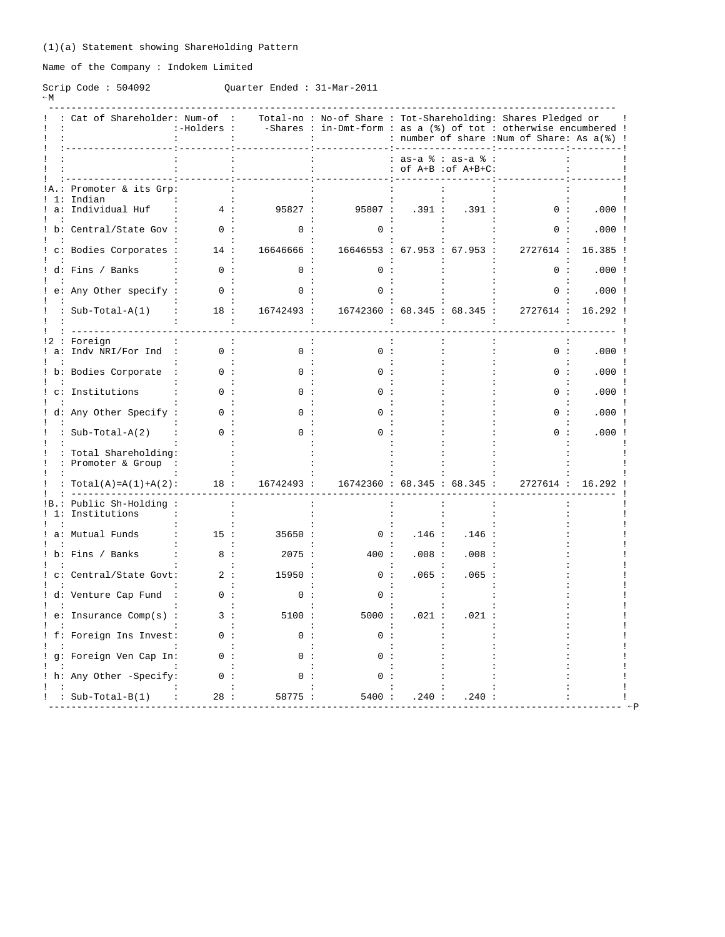Name of the Company : Indokem Limited

# Scrip Code : 504092 Quarter Ended : 31-Mar-2011

| ∩ r ⊥ D | ບທທ |
|---------|-----|
|         |     |

|    | Cat of Shareholder: Num-of                    | :-Holders : |            | Total-no: No-of Share: Tot-Shareholding: Shares Pledged or<br>-Shares : in-Dmt-form : as a $(*)$ of tot : otherwise encumbered ! |                                           |       | : number of share :Num of Share: As a(%) ! |          |
|----|-----------------------------------------------|-------------|------------|----------------------------------------------------------------------------------------------------------------------------------|-------------------------------------------|-------|--------------------------------------------|----------|
|    |                                               |             |            |                                                                                                                                  | : as-a % : as-a %<br>: of A+B : of A+B+C: |       |                                            |          |
|    | Promoter & its Grp:<br>Indian                 |             |            |                                                                                                                                  |                                           |       |                                            |          |
| a: | Individual Huf                                | 4:          | 95827:     | 95807:                                                                                                                           | .391:                                     | .391: | 0:                                         | .000:    |
|    | b: Central/State Gov :                        | 0:          | 0:         | ი :                                                                                                                              |                                           |       |                                            | .000     |
|    | c: Bodies Corporates :                        | 14:         | 16646666:  | 16646553 : 67.953 : 67.953 :                                                                                                     |                                           |       | 2727614 :                                  | 16.385   |
|    | ! d: Fins / Banks                             | 0:          | 0:         | ∩ :                                                                                                                              |                                           |       | 0:                                         | .000:    |
|    | e: Any Other specify :                        | 0:          | 0:         | 0:                                                                                                                               |                                           |       | 0:                                         | $.000$ ! |
|    | $Sub-Total-A(1)$                              | 18:         | 16742493 : | 16742360 : 68.345 : 68.345 :                                                                                                     |                                           |       | 2727614 :                                  | 16.292   |
|    | Foreign<br>a: Indv NRI/For Ind                | 0:          | 0:         | 0:                                                                                                                               |                                           |       | 0:                                         | .000:    |
|    | b: Bodies Corporate                           | 0:          | ი :        |                                                                                                                                  |                                           |       | ი :                                        | $.000$ ! |
|    | c: Institutions                               |             |            |                                                                                                                                  |                                           |       |                                            | .000     |
|    | d: Any Other Specify :                        | $\Omega$ :  | ი :        |                                                                                                                                  |                                           |       |                                            | .000:    |
|    | : $Sub-Total-A(2)$                            | 0:          | 0:         | ∩ :                                                                                                                              |                                           |       | $\cap$                                     | .000     |
|    | : Total Shareholding:<br>: Promoter & Group   |             |            |                                                                                                                                  |                                           |       |                                            |          |
|    | : $Total(A) = A(1) + A(2)$ :                  | 18:         | 16742493 : | 16742360 : 68.345 : 68.345 :                                                                                                     |                                           |       | 2727614 :                                  | 16.292   |
|    | :B.: Public Sh-Holding :<br>! 1: Institutions |             |            |                                                                                                                                  |                                           |       |                                            |          |
|    | a: Mutual Funds                               | 15:         | 35650:     | 0:                                                                                                                               | .146:                                     | .146: |                                            |          |
|    | b: Fins / Banks                               | 8 :         | 2075:      | 400:                                                                                                                             | .008:                                     | .008: |                                            |          |
|    | c: Central/State Govt:                        | 2:          | 15950:     | 0:                                                                                                                               | .065:                                     | .065: |                                            |          |
|    | ! d: Venture Cap Fund                         | 0:          | 0:         | 0:                                                                                                                               |                                           |       |                                            |          |
|    | e: Insurance Comp(s) :                        | 3:          | 5100:      | 5000:                                                                                                                            | .021:                                     | .021  |                                            |          |
|    | f: Foreign Ins Invest:                        | 0:          | 0:         | ი :                                                                                                                              |                                           |       |                                            |          |
|    | g: Foreign Ven Cap In:                        | 0:          | ი :        |                                                                                                                                  |                                           |       |                                            |          |
|    |                                               |             |            |                                                                                                                                  |                                           |       |                                            |          |
|    | h: Any Other -Specify:                        | 0:          | 0:         | n :                                                                                                                              |                                           |       |                                            |          |
|    | : $Sub-Total-B(1)$                            | 28 :        | 58775 :    | 5400:                                                                                                                            | .240:                                     | .240: |                                            |          |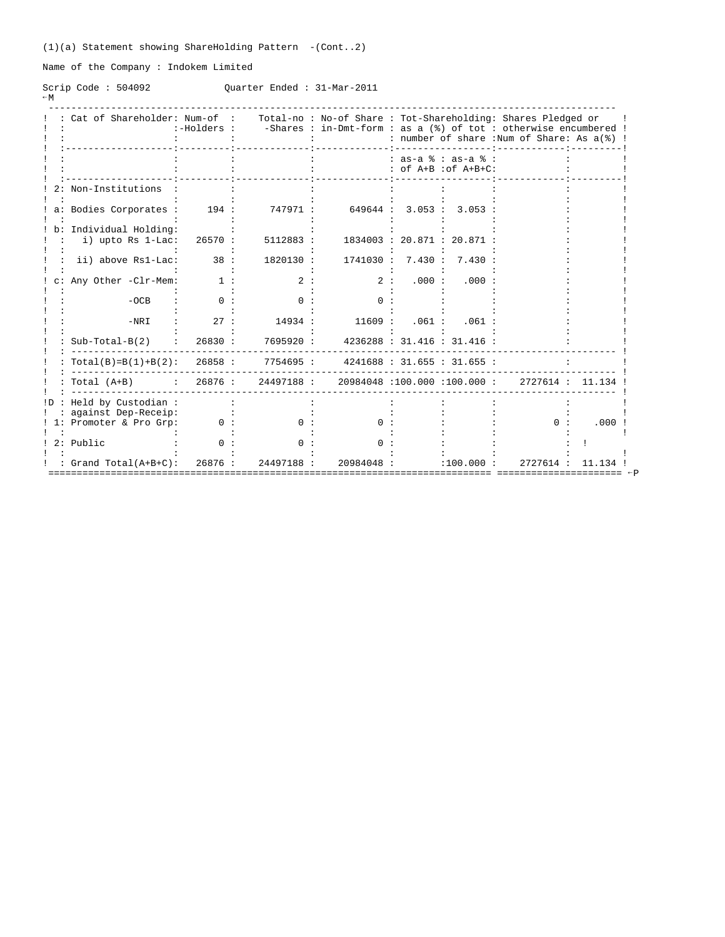(1)(a) Statement showing ShareHolding Pattern -(Cont..2)

Name of the Company : Indokem Limited

Scrip Code : 504092 Quarter Ended : 31-Mar-2011  $-W$ 

|     | Cat of Shareholder: Num-of :              | :-Holders : |           |                                         |         |                                               | Total-no: No-of Share: Tot-Shareholding: Shares Pledged or<br>-Shares : in-Dmt-form : as a (%) of tot : otherwise encumbered !<br>: number of share : Num of Share: As a(%) ! |        |
|-----|-------------------------------------------|-------------|-----------|-----------------------------------------|---------|-----------------------------------------------|-------------------------------------------------------------------------------------------------------------------------------------------------------------------------------|--------|
|     |                                           |             |           |                                         |         | $: as-a$ $: as-a$ $:$<br>: of A+B : of A+B+C: |                                                                                                                                                                               |        |
|     | Non-Institutions                          |             |           |                                         |         |                                               |                                                                                                                                                                               |        |
|     | a: Bodies Corporates :                    | 194:        | 747971:   | 649644 :                                | 3.053:  | 3.053                                         |                                                                                                                                                                               |        |
|     | Individual Holding:<br>i) upto Rs 1-Lac:  | 26570 :     | 5112883 : |                                         |         | 1834003 : 20.871 : 20.871                     |                                                                                                                                                                               |        |
|     | ii) above Rs1-Lac:                        | 38:         | 1820130 : | 1741030:                                | 7.430 : | 7.430:                                        |                                                                                                                                                                               |        |
|     | Any Other -Clr-Mem:                       | 1 :         | 2:        | 2:                                      | .000:   | .000:                                         |                                                                                                                                                                               |        |
|     | $-OCB$                                    | ი :         | n :       | ი :                                     |         |                                               |                                                                                                                                                                               |        |
|     | $-NRI$                                    | 27:         | 14934 :   | 11609:                                  | .061:   | .061:                                         |                                                                                                                                                                               |        |
|     | $Sub-Total-B(2)$                          | 26830 :     | 7695920 : |                                         |         | 4236288 : 31.416 : 31.416 :                   |                                                                                                                                                                               |        |
|     | $Total(B)=B(1)+B(2): 26858:$              |             | 7754695 : |                                         |         | 4241688 : 31.655 : 31.655 :                   |                                                                                                                                                                               |        |
|     | Total (A+B) : 26876 :                     |             |           | 24497188 : 20984048 :100.000 :100.000 : |         |                                               | 2727614 :                                                                                                                                                                     | 11.134 |
| !D. | Held by Custodian:<br>against Dep-Receip: |             |           |                                         |         |                                               |                                                                                                                                                                               |        |
| 1:  | Promoter & Pro Grp:                       | 0:          | n :       | 0 :                                     |         |                                               | ი :                                                                                                                                                                           | .000   |
|     | 2: Public                                 |             | n.        |                                         |         |                                               |                                                                                                                                                                               |        |
|     | : $Grand Total (A+B+C):$                  | 26876:      | 24497188: | 20984048 :                              |         | :100.000:                                     | 2727614 :                                                                                                                                                                     | 11.13  |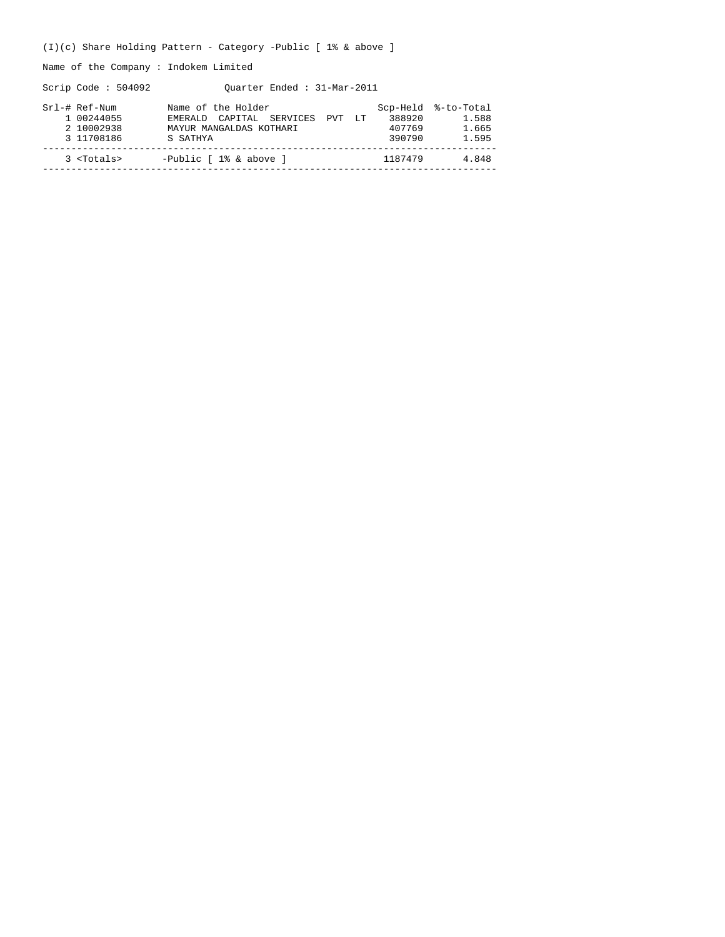(I)(c) Share Holding Pattern - Category -Public [ 1% & above ]

Name of the Company : Indokem Limited

Scrip Code : 504092 Quarter Ended : 31-Mar-2011

| Srl-# Ref-Num<br>1 00244055<br>2 10002938<br>3 11708186 | Name of the Holder<br>CAPITAL SERVICES PVT<br>F.MERAID<br>T.T<br>MAYUR MANGALDAS KOTHARI<br>S SATHYA | 388920<br>407769<br>390790 | Scp-Held %-to-Total<br>1.588<br>1.665<br>1.595 |
|---------------------------------------------------------|------------------------------------------------------------------------------------------------------|----------------------------|------------------------------------------------|
| 3 <totals></totals>                                     | -Public $[1$ & above $]$                                                                             | 1187479                    | 4.848                                          |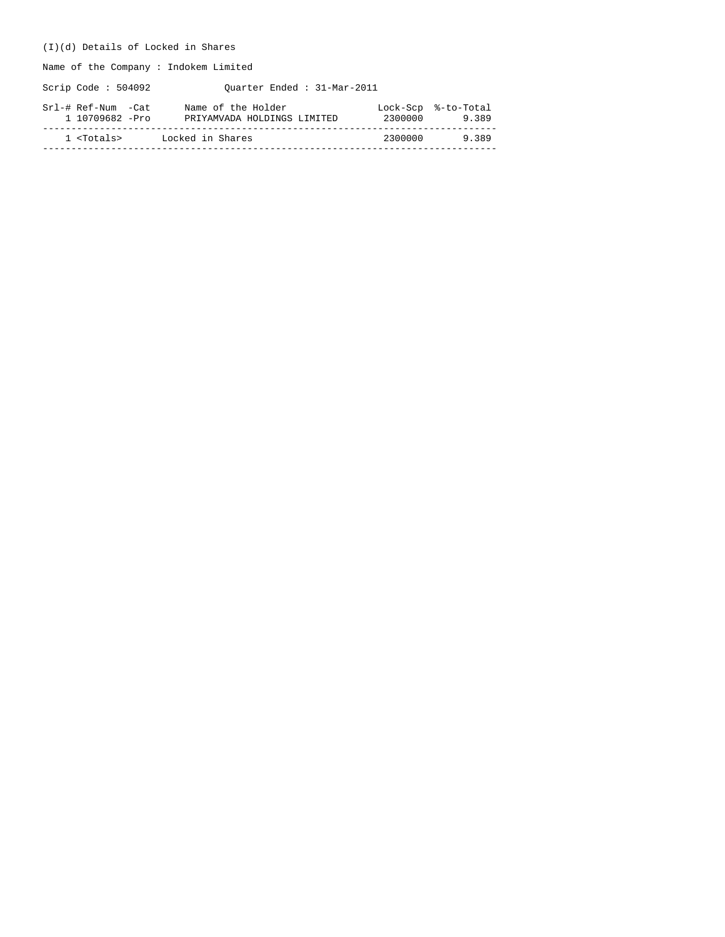## (I)(d) Details of Locked in Shares

Name of the Company : Indokem Limited

Scrip Code : 504092 Quarter Ended : 31-Mar-2011

| Srl-# Ref-Num -Cat  | Name of the Holder          | 2300000 | Lock-Scp %-to-Total |
|---------------------|-----------------------------|---------|---------------------|
| 1 10709682 -Pro     | PRIYAMVADA HOLDINGS LIMITED |         | 9.389               |
| 1 <totals></totals> | Locked in Shares            | 2300000 | 9389                |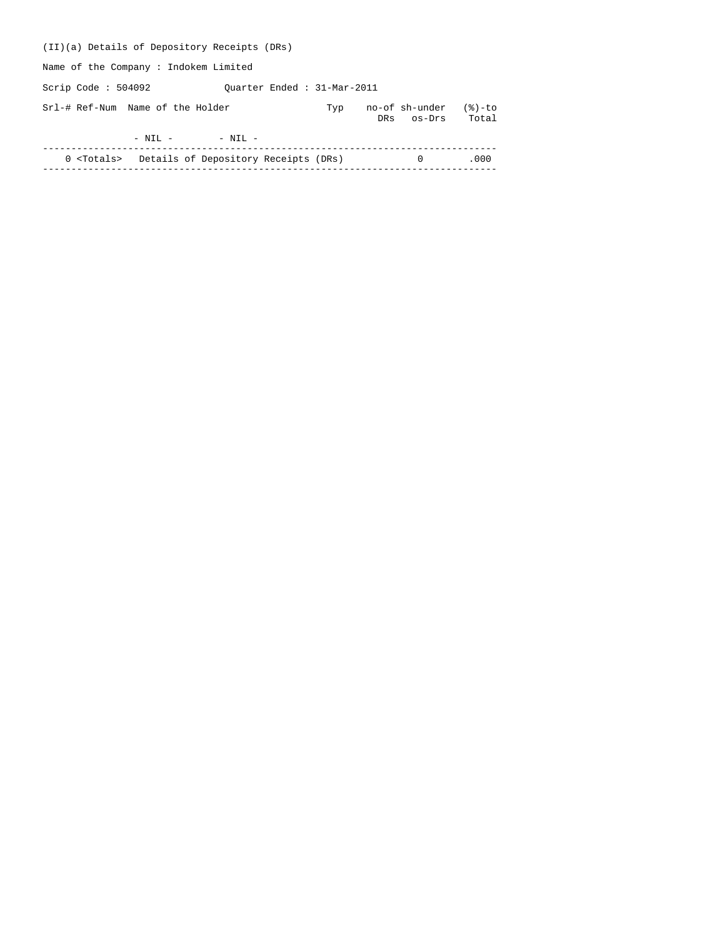| (II)(a) Details of Depository Receipts (DRs)             |                            |     |     |                          |                    |
|----------------------------------------------------------|----------------------------|-----|-----|--------------------------|--------------------|
| Name of the Company: Indokem Limited                     |                            |     |     |                          |                    |
| Scrip Code : $504092$                                    | Ouarter Ended: 31-Mar-2011 |     |     |                          |                    |
| Srl-# Ref-Num Name of the Holder                         |                            | Typ | DRs | no-of sh-under<br>os-Drs | $(8)-$ to<br>Total |
| $-$ NIL $ -$ NIL $-$                                     |                            |     |     |                          |                    |
| 0 <totals> Details of Depository Receipts (DRs)</totals> |                            |     |     | $\Omega$                 | .000               |
|                                                          |                            |     |     |                          |                    |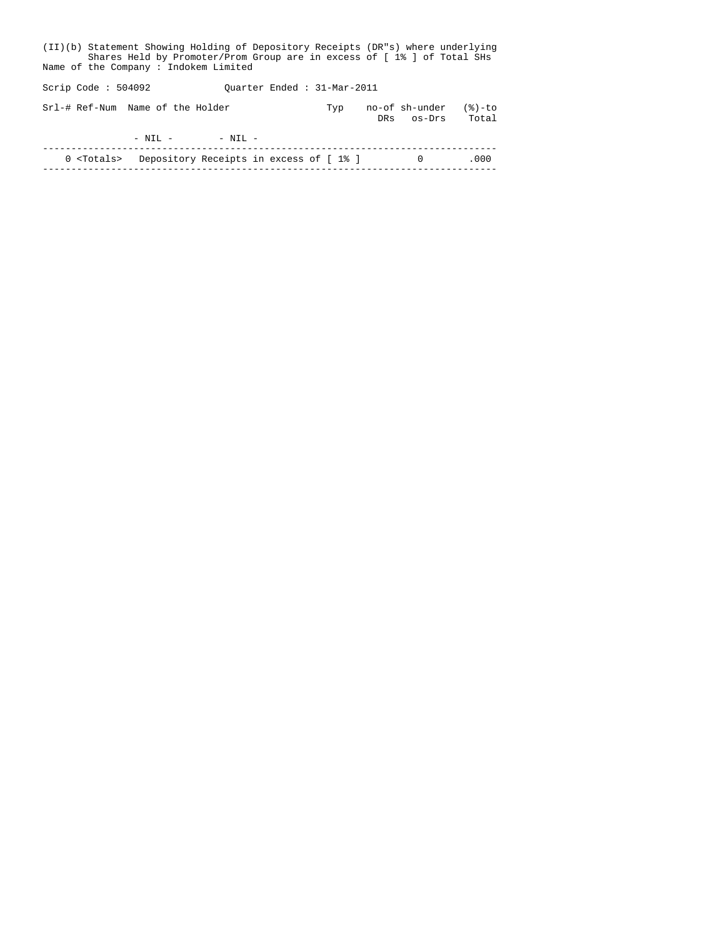| (II)(b) Statement Showing Holding of Depository Receipts (DR"s) where underlying<br>Shares Held by Promoter/Prom Group are in excess of [1% ] of Total SHs<br>Name of the Company: Indokem Limited |  |  |                      |                                                           |     |  |                              |                   |  |
|----------------------------------------------------------------------------------------------------------------------------------------------------------------------------------------------------|--|--|----------------------|-----------------------------------------------------------|-----|--|------------------------------|-------------------|--|
| Scrip Code : $504092$                                                                                                                                                                              |  |  |                      | Ouarter Ended: 31-Mar-2011                                |     |  |                              |                   |  |
| Srl-# Ref-Num Name of the Holder                                                                                                                                                                   |  |  |                      |                                                           | Typ |  | no-of sh-under<br>DRs os-Drs | $(8)-to$<br>Total |  |
|                                                                                                                                                                                                    |  |  | $-$ NIL $ -$ NIL $-$ |                                                           |     |  |                              |                   |  |
|                                                                                                                                                                                                    |  |  |                      | 0 <totals> Depository Receipts in excess of [1%]</totals> |     |  | $\Omega$                     | .000              |  |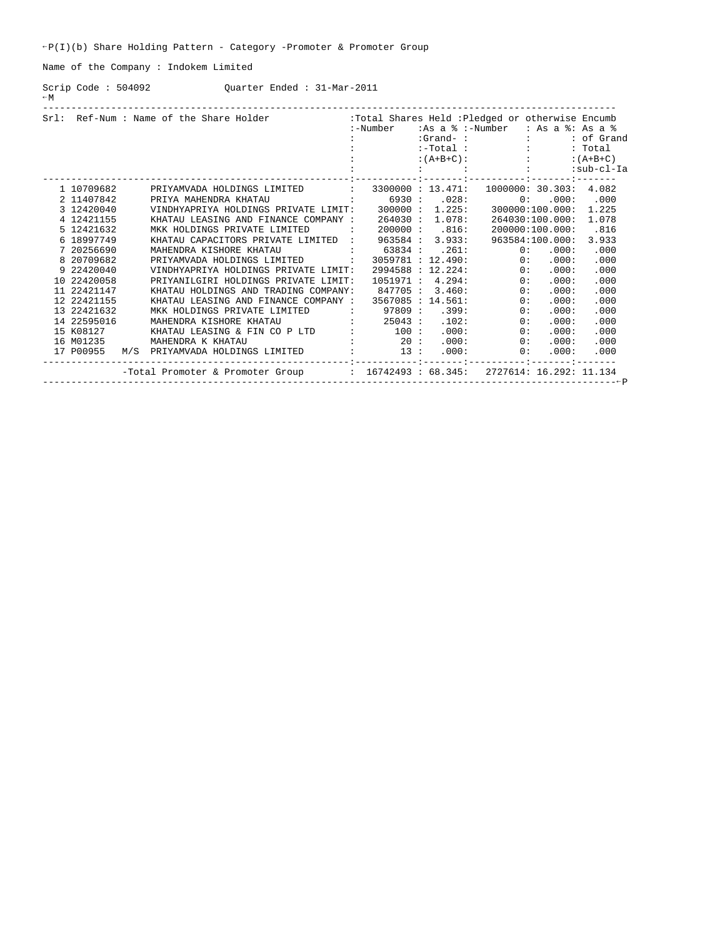$\texttt{P}(I)(b)$  Share Holding Pattern - Category -Promoter & Promoter Group

Name of the Company : Indokem Limited

Scrip Code : 504092 Quarter Ended : 31-Mar-2011  $-M$ 

|             |     | Srl: Ref-Num : Name of the Share Holder (1994) : Total Shares Held : Pledged or otherwise Encumb |              | :-Number                    |                   | :As a % :-Number                       |         | : As a $\frac{1}{6}$ : As a $\frac{1}{6}$ |
|-------------|-----|--------------------------------------------------------------------------------------------------|--------------|-----------------------------|-------------------|----------------------------------------|---------|-------------------------------------------|
|             |     |                                                                                                  |              |                             |                   | $: Grand-$ : $:$                       |         | : of Grand                                |
|             |     |                                                                                                  |              |                             |                   |                                        |         | : Total                                   |
|             |     |                                                                                                  |              |                             |                   | $:-Total:$<br>:(A+B+C): :              |         | $:(A+B+C)$                                |
|             |     |                                                                                                  |              |                             |                   | design and development of the state of |         | :sub-cl-Ia                                |
|             |     |                                                                                                  |              |                             |                   |                                        |         |                                           |
| 1 10709682  |     | PRIYAMVADA HOLDINGS LIMITED :                                                                    |              |                             | 3300000: 13.471:  | 1000000: 30.303:                       |         | 4.082                                     |
| 2 11407842  |     | $\cdot$ 6930 $\cdot$ 028:<br>PRIYA MAHENDRA KHATAU                                               |              |                             |                   |                                        | 0: 000: | .000                                      |
| 3 12420040  |     | VINDHYAPRIYA HOLDINGS PRIVATE LIMIT: 300000: 1.225: 300000:100.000: 1.225                        |              |                             |                   |                                        |         |                                           |
| 4 12421155  |     | KHATAU LEASING AND FINANCE COMPANY :                                                             |              | $264030$ :                  | 1.078:            | 264030:100.000:                        |         | 1.078                                     |
| 5 12421632  |     | MKK HOLDINGS PRIVATE LIMITED                                                                     | $\sim$ 1.100 | $200000$ :                  | .816:             | 200000:100.000:                        |         | .816                                      |
| 6 18997749  |     | KHATAU CAPACITORS PRIVATE LIMITED :                                                              |              | 963584 :                    | 3.933:            | 963584:100.000:                        |         | 3.933                                     |
| 7 20256690  |     | MAHENDRA KISHORE KHATAU                                                                          |              | : 63834 : .261:             |                   | 0:                                     | .000:   | .000                                      |
| 8 20709682  |     | PRIYAMVADA HOLDINGS LIMITED :                                                                    |              |                             |                   | 3059781 : 12.490: 0:                   | .000:   | .000                                      |
| 9 22420040  |     | VINDHYAPRIYA HOLDINGS PRIVATE LIMIT:                                                             |              |                             | 2994588 : 12.224: | $\overline{0}$ :                       | .000:   | .000                                      |
| 10 22420058 |     | PRIYANILGIRI HOLDINGS PRIVATE LIMIT:                                                             |              | 1051971 :                   | 4.294:            | $\overline{0}$ :                       | .000:   | .000                                      |
| 11 22421147 |     | KHATAU HOLDINGS AND TRADING COMPANY:                                                             |              | 847705 :                    | 3.460:            | $\overline{\phantom{a}}$ 0 :           | .000:   | .000                                      |
| 12 22421155 |     | KHATAU LEASING AND FINANCE COMPANY :                                                             |              |                             | 3567085 : 14.561: | $\overline{0}$ :                       | .000:   | .000                                      |
| 13 22421632 |     | MKK HOLDINGS PRIVATE LIMITED                                                                     |              | $\cdot$ 97809 $\cdot$ .399: |                   | $\overline{0}$ :                       | .000:   | .000                                      |
| 14 22595016 |     | MAHENDRA KISHORE KHATAU<br>$\frac{1}{25043}$ :                                                   |              |                             | .102:             | 0:                                     | .000:   | .000                                      |
| 15 K08127   |     |                                                                                                  |              |                             | .000:             | 0:                                     | .000:   | .000                                      |
| 16 M01235   |     | $\begin{array}{ccccccccc}\n&\ddots&\ddots&\ddots&\ddots&\n\end{array}$<br>MAHENDRA K KHATAU      |              |                             | .000:             | $\sim$ 0:                              | .000:   | .000                                      |
| 17 P00955   | M/S | PRIYAMVADA HOLDINGS LIMITED : 13 :                                                               |              |                             | .000:             | $\overline{0}$ :                       | .000:   | .000                                      |
|             |     | -Total Promoter & Promoter Group : 16742493 : 68.345: 2727614: 16.292: 11.134                    |              |                             |                   |                                        |         | ––––––––––← <b>P</b>                      |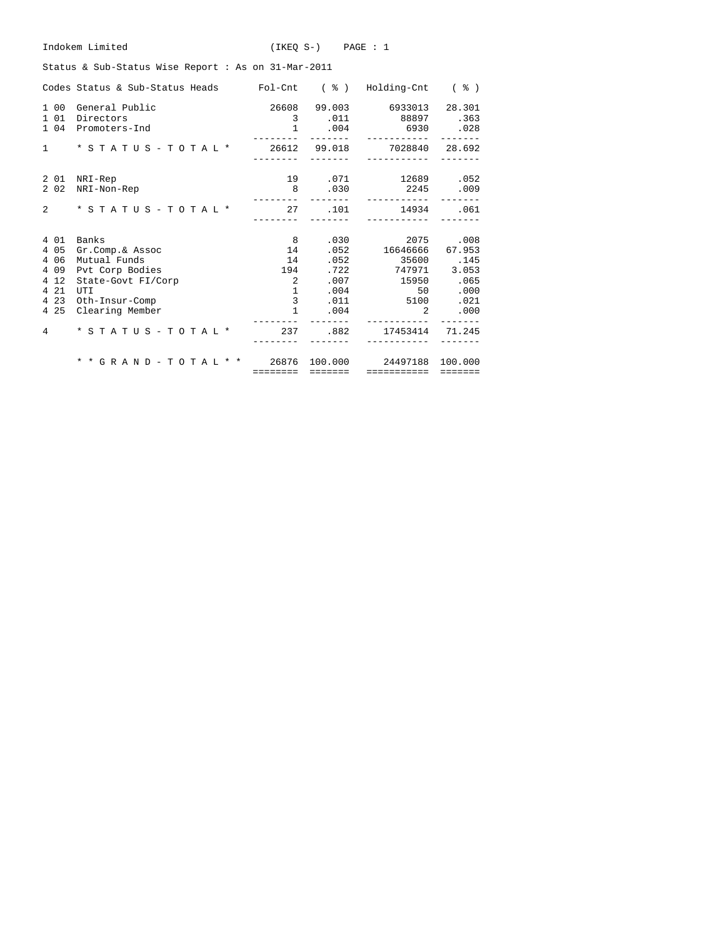| Indokem Limited                                                           |                       | $(IKEO S-)$ $PAGE : 1$ |                                                                                        |                                        |
|---------------------------------------------------------------------------|-----------------------|------------------------|----------------------------------------------------------------------------------------|----------------------------------------|
| Status & Sub-Status Wise Report : As on 31-Mar-2011                       |                       |                        |                                                                                        |                                        |
| Codes Status & Sub-Status Heads Fol-Cnt (%) Holding-Cnt (%)               |                       |                        |                                                                                        |                                        |
| 1 00 General Public<br>1 0 1<br>Directors<br>1 04 Promoters-Ind           |                       |                        | 26608 99.003 6933013<br>3 .011 88897 .363<br>1.004.6930.028<br>_______________________ | 28.301                                 |
| * S T A T U S - T O T A L * 26612 99.018 7028840 28.692<br>$1 \quad \Box$ | ---------             | --------               | ------------                                                                           |                                        |
| 2 01 NRI-Rep<br>2 0 2<br>NRI-Non-Rep                                      | ---------             | 8.030                  | 19 .071 12689 .052<br>2245 .009<br>___________                                         |                                        |
| $\overline{2}$                                                            | ---------             | --------               | ------------                                                                           |                                        |
| 4 0 1<br>Banks                                                            | 8 <sup>1</sup>        |                        | .030                                                                                   | 2075 .008                              |
| 4 0 5<br>Gr.Comp.& Assoc                                                  | 14                    |                        | .052 16646666 67.953                                                                   |                                        |
| 4 0 6<br>Mutual Funds                                                     | 14                    |                        |                                                                                        |                                        |
| 4 0 9<br>Pvt Corp Bodies<br>4 1 2<br>State-Govt FI/Corp                   | 194<br>$\overline{2}$ |                        | .007 15950 .065                                                                        |                                        |
| 4 2 1<br>UTI                                                              |                       | $\mathbf{1}$           | .004                                                                                   | 50 .000                                |
| 4 2 3<br>Oth-Insur-Comp                                                   |                       | $3^{\circ}$            | .011 5100                                                                              | .021                                   |
| 4 2 5<br>Clearing Member                                                  | $\mathbf{1}$          |                        | .004                                                                                   | $2 \left( \frac{1}{2} \right)$<br>.000 |
| * S T A T U S - T O T A L * 237 .882 17453414 71.245<br>$\overline{4}$    |                       |                        |                                                                                        |                                        |
| * * G R A N D - T O T A L * * 26876 100.000 24497188 100.000              |                       |                        |                                                                                        |                                        |
|                                                                           |                       |                        | ======== ======= ============ =======                                                  |                                        |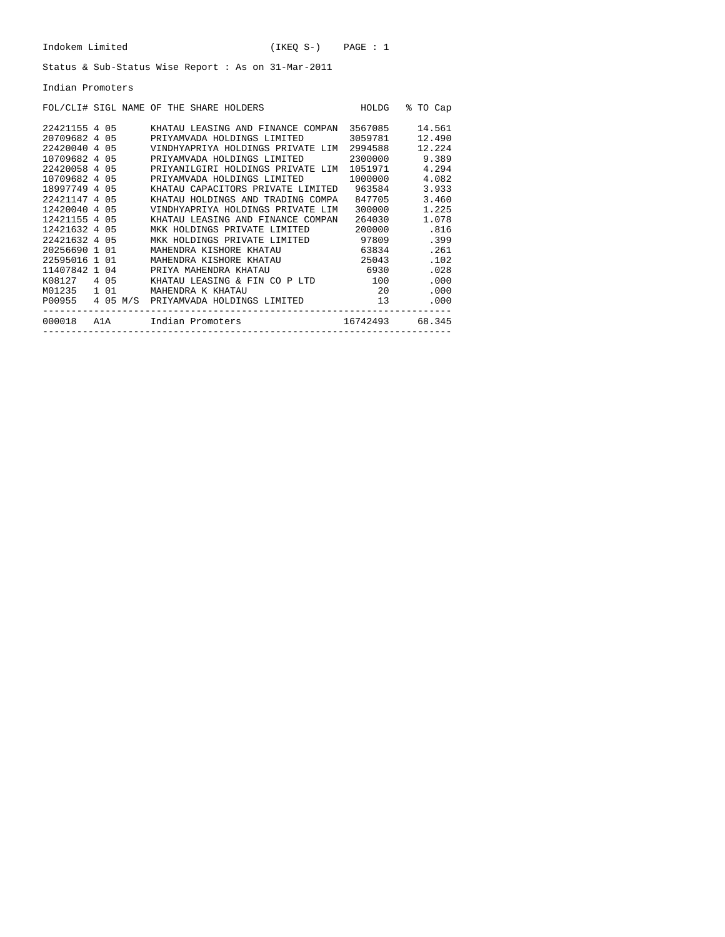Indian Promoters

| FOL/CLI# SIGL NAME OF THE SHARE HOLDERS |  |  |                       |  |                                          |                 |  | HOLDG         |  | % TO Cap |      |
|-----------------------------------------|--|--|-----------------------|--|------------------------------------------|-----------------|--|---------------|--|----------|------|
| 22421155 4 05                           |  |  |                       |  | KHATAU LEASING AND FINANCE COMPAN        |                 |  | 3567085       |  | 14.561   |      |
| 20709682 4 05                           |  |  |                       |  | PRIYAMVADA HOLDINGS LIMITED              |                 |  | 3059781       |  | 12.490   |      |
| 22420040 4 05                           |  |  |                       |  | VINDHYAPRIYA HOLDINGS PRIVATE LIM        |                 |  | 2994588       |  | 12.224   |      |
| 10709682 4 05                           |  |  |                       |  | PRIYAMVADA HOLDINGS LIMITED              |                 |  | 2300000 9.389 |  |          |      |
| 22420058 4 05                           |  |  |                       |  | PRIYANILGIRI HOLDINGS PRIVATE LIM        |                 |  | 1051971 4.294 |  |          |      |
| 10709682 4 05                           |  |  |                       |  | PRIYAMVADA HOLDINGS LIMITED              |                 |  | 1000000 4.082 |  |          |      |
| 18997749 4 05                           |  |  |                       |  | KHATAU CAPACITORS PRIVATE LIMITED 963584 |                 |  |               |  | 3.933    |      |
| 22421147 4 05                           |  |  |                       |  | KHATAU HOLDINGS AND TRADING COMPA        |                 |  | 847705        |  | 3.460    |      |
| 12420040 4 05                           |  |  |                       |  | VINDHYAPRIYA HOLDINGS PRIVATE LIM        |                 |  | 300000        |  | 1.225    |      |
| 12421155 4 05                           |  |  |                       |  | KHATAU LEASING AND FINANCE COMPAN        |                 |  | 264030        |  | 1.078    |      |
| 12421632 4 05                           |  |  |                       |  | MKK HOLDINGS PRIVATE LIMITED             |                 |  | 200000        |  |          | .816 |
| 22421632 4 05                           |  |  |                       |  | MKK HOLDINGS PRIVATE LIMITED 97809       |                 |  |               |  |          | .399 |
| 20256690 1 01                           |  |  |                       |  | MAHENDRA KISHORE KHATAU                  |                 |  | 63834         |  |          | .261 |
| 22595016 1 01                           |  |  |                       |  | MAHENDRA KISHORE KHATAU                  |                 |  | 25043         |  |          | .102 |
| 11407842 1 04                           |  |  | PRIYA MAHENDRA KHATAU |  |                                          |                 |  | 6930          |  |          | .028 |
| K08127 4 05                             |  |  |                       |  | KHATAU LEASING & FIN CO P LTD 100        |                 |  |               |  |          | .000 |
| M01235 1 01                             |  |  | MAHENDRA K KHATAU     |  |                                          |                 |  | 20 20         |  |          | .000 |
| P00955 4 05 M/S                         |  |  |                       |  | PRIYAMVADA HOLDINGS LIMITED              |                 |  | 13            |  |          | .000 |
| 000018 A1A Indian Promoters             |  |  |                       |  |                                          | 16742493 68.345 |  |               |  |          |      |
|                                         |  |  |                       |  |                                          |                 |  |               |  |          |      |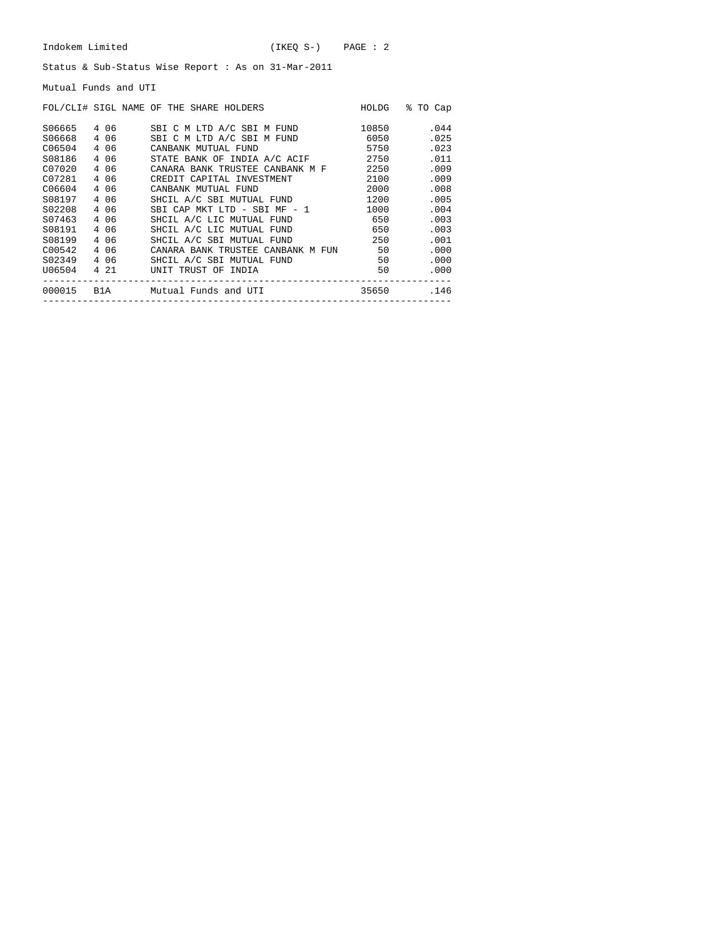Mutual Funds and UTI

|        |       | FOL/CLI# SIGL NAME OF THE SHARE HOLDERS | HOLDG | ႜ<br>TO Cap |
|--------|-------|-----------------------------------------|-------|-------------|
| S06665 | 4 06  | SBI C M LTD A/C SBI M FUND              | 10850 | .044        |
| S06668 | 4 06  | SBI C M LTD A/C SBI M FUND              | 6050  | .025        |
| C06504 | 4 06  | CANBANK MUTUAL FUND                     | 5750  | .023        |
| S08186 | 4 0 6 | STATE BANK OF INDIA A/C ACIF            | 2750  | .011        |
| C07020 | 4 06  | CANARA BANK TRUSTEE CANBANK M F         | 2250  | .009        |
| C07281 | 4 06  | CREDIT CAPITAL INVESTMENT               | 2100  | .009        |
| C06604 | 4 0 6 | CANBANK MUTUAL FUND                     | 2000  | .008        |
| S08197 | 4 0 6 | SHCIL A/C SBI MUTUAL FUND               | 1200  | .005        |
| S02208 | 4 06  | SBI CAP MKT LTD - SBI MF - 1            | 1000  | .004        |
| S07463 | 4 06  | SHCIL A/C LIC MUTUAL FUND               | 650   | .003        |
| S08191 | 4 06  | SHCIL A/C LIC MUTUAL FUND               | 650   | .003        |
| S08199 | 4 06  | SHCIL A/C SBI MUTUAL FUND               | 250   | .001        |
| C00542 | 4 06  | CANARA BANK TRUSTEE CANBANK M FUN       | 50    | .000        |
| S02349 | 4 06  | SHCIL A/C SBI MUTUAL FUND               | 50    | .000        |
| U06504 | 4 21  | UNIT TRUST OF INDIA                     | 50    | .000        |
| 000015 | B1A   | Mutual Funds and UTI                    | 35650 | .146        |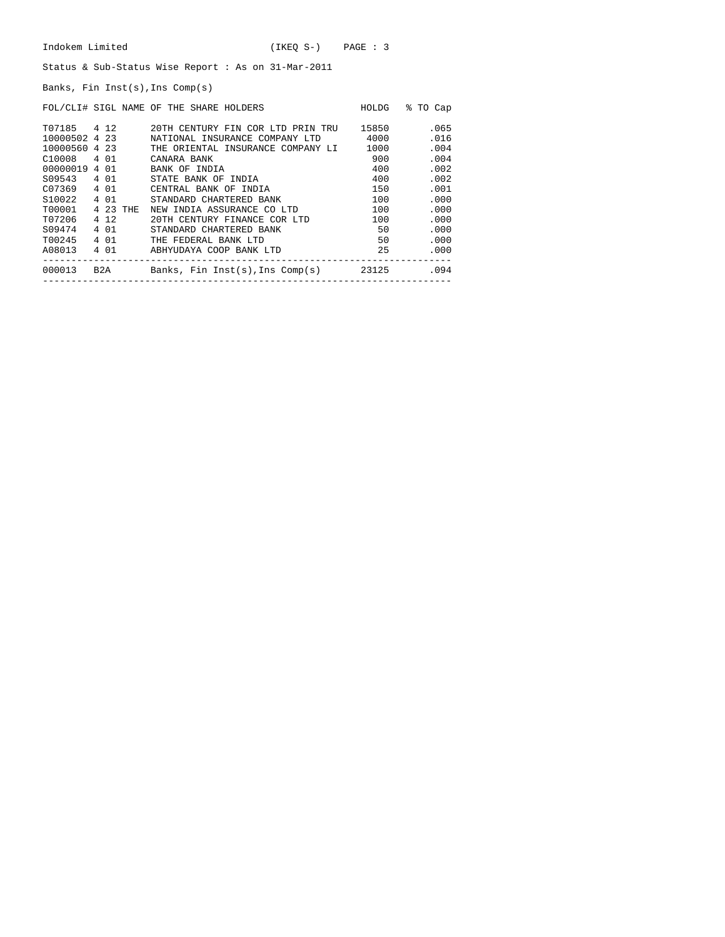Banks, Fin Inst(s),Ins Comp(s)

|                    |          | FOL/CLI# SIGL NAME OF THE SHARE HOLDERS  | HOLDG | % TO Cap |
|--------------------|----------|------------------------------------------|-------|----------|
| T07185 4 12        |          | 20TH CENTURY FIN COR LTD PRIN TRU        | 15850 | .065     |
| 10000502 4 23      |          | NATIONAL INSURANCE COMPANY LTD           | 4000  | .016     |
| 10000560 4 23      |          | THE ORIENTAL INSURANCE COMPANY LI        | 1000  | .004     |
| C10008 4 01        |          | CANARA BANK                              | 900   | .004     |
| 00000019 4 01      |          | BANK OF INDIA                            | 400   | .002     |
| S09543 4 01        |          | STATE BANK OF INDIA                      | 400   | .002     |
| C07369             | 4 01     | CENTRAL BANK OF INDIA                    | 150   | .001     |
| S <sub>10022</sub> | 4 0 1    | STANDARD CHARTERED BANK                  | 100   | .000     |
| T00001             | 4 23 THE | NEW INDIA ASSURANCE CO LTD               | 100   | .000     |
| T07206             | 4 1 2    | 20TH CENTURY FINANCE COR LTD             | 100   | .000     |
| S09474             | 4 0 1    | STANDARD CHARTERED BANK                  | 50    | .000     |
| T00245             | 4 0 1    | THE FEDERAL BANK LTD                     | 50    | .000     |
| A08013             | 4 01     | ABHYUDAYA COOP BANK LTD                  | 25    | .000     |
| 000013             | B2A      | Banks, Fin Inst(s),Ins Comp(s)     23125 |       | .094     |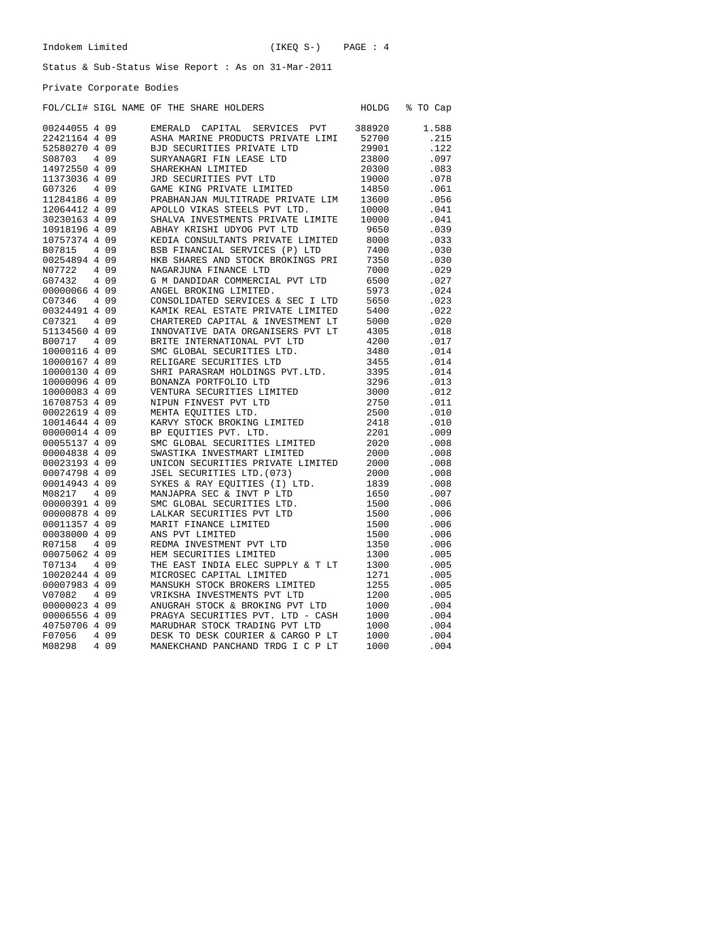Private Corporate Bodies

|               |       | FOL/CLI# SIGL NAME OF THE SHARE HOLDERS      | HOLDG  | % TO Cap |
|---------------|-------|----------------------------------------------|--------|----------|
| 00244055 4 09 |       | EMERALD<br>CAPITAL<br>SERVICES<br><b>PVT</b> | 388920 | 1.588    |
| 22421164 4 09 |       | ASHA MARINE PRODUCTS PRIVATE LIMI            | 52700  | .215     |
| 52580270 4 09 |       | BJD SECURITIES PRIVATE LTD                   | 29901  | .122     |
| S08703        | 4 0 9 | SURYANAGRI FIN LEASE LTD                     | 23800  | .097     |
| 14972550 4 09 |       | SHAREKHAN LIMITED                            | 20300  | .083     |
| 11373036 4 09 |       | JRD SECURITIES PVT LTD                       | 19000  | .078     |
| G07326        | 4 0 9 | GAME KING PRIVATE LIMITED                    | 14850  | .061     |
| 11284186 4 09 |       | PRABHANJAN MULTITRADE PRIVATE LIM            | 13600  | .056     |
| 12064412 4 09 |       | APOLLO VIKAS STEELS PVT LTD.                 | 10000  | .041     |
| 30230163 4 09 |       | SHALVA INVESTMENTS PRIVATE LIMITE            | 10000  | .041     |
| 10918196 4 09 |       | ABHAY KRISHI UDYOG PVT LTD                   | 9650   | .039     |
| 10757374 4 09 |       | KEDIA CONSULTANTS PRIVATE LIMITED            | 8000   | .033     |
| B07815        | 4 0 9 | BSB FINANCIAL SERVICES (P) LTD               | 7400   | .030     |
| 00254894 4 09 |       | HKB SHARES AND STOCK BROKINGS PRI            | 7350   | .030     |
| N07722        | 4 0 9 | NAGARJUNA FINANCE LTD                        | 7000   | .029     |
| G07432        | 4 0 9 | G M DANDIDAR COMMERCIAL PVT LTD              | 6500   | .027     |
| 00000066 4 09 |       | ANGEL BROKING LIMITED.                       | 5973   | .024     |
| C07346        | 4 0 9 | CONSOLIDATED SERVICES & SEC I LTD            | 5650   | .023     |
| 00324491 4 09 |       | KAMIK REAL ESTATE PRIVATE LIMITED            | 5400   | .022     |
| C07321        | 4 0 9 | CHARTERED CAPITAL & INVESTMENT LT            | 5000   | .020     |
| 51134560 4 09 |       | INNOVATIVE DATA ORGANISERS PVT LT            | 4305   | .018     |
| B00717        | 4 0 9 | BRITE INTERNATIONAL PVT LTD                  | 4200   | .017     |
| 10000116 4 09 |       | SMC GLOBAL SECURITIES LTD.                   | 3480   | .014     |
| 10000167 4 09 |       | RELIGARE SECURITIES LTD                      | 3455   | .014     |
| 10000130 4 09 |       | SHRI PARASRAM HOLDINGS PVT.LTD.              | 3395   | .014     |
| 10000096 4 09 |       | BONANZA PORTFOLIO LTD                        | 3296   | .013     |
| 10000083 4 09 |       | VENTURA SECURITIES LIMITED                   | 3000   | .012     |
| 16708753 4 09 |       | NIPUN FINVEST PVT LTD                        | 2750   | .011     |
| 00022619 4 09 |       | MEHTA EOUITIES LTD.                          | 2500   | .010     |
| 10014644 4 09 |       | KARVY STOCK BROKING LIMITED                  | 2418   | .010     |
| 00000014 4 09 |       | BP EQUITIES PVT. LTD.                        | 2201   | .009     |
| 00055137 4 09 |       | SMC GLOBAL SECURITIES LIMITED                | 2020   | .008     |
| 00004838 4 09 |       | SWASTIKA INVESTMART LIMITED                  | 2000   | .008     |
| 00023193 4 09 |       | UNICON SECURITIES PRIVATE LIMITED            | 2000   | .008     |
| 00074798 4 09 |       | JSEL SECURITIES LTD. (073)                   | 2000   | .008     |
| 00014943 4 09 |       | SYKES & RAY EOUITIES (I) LTD.                | 1839   | .008     |
| M08217        | 4 0 9 | MANJAPRA SEC & INVT P LTD                    | 1650   | .007     |
| 00000391 4 09 |       | SMC GLOBAL SECURITIES LTD.                   | 1500   | .006     |
| 00000878 4 09 |       | LALKAR SECURITIES PVT LTD                    | 1500   | .006     |
| 00011357 4 09 |       | MARIT FINANCE LIMITED                        | 1500   | .006     |
| 00038000 4 09 |       | ANS PVT LIMITED                              | 1500   | .006     |
| R07158        | 4 0 9 | REDMA INVESTMENT PVT LTD                     | 1350   | .006     |
| 00075062 4 09 |       | HEM SECURITIES LIMITED                       | 1300   | .005     |
| T07134        | 4 0 9 | THE EAST INDIA ELEC SUPPLY & T LT            | 1300   | .005     |
| 10020244 4 09 |       | MICROSEC CAPITAL LIMITED                     | 1271   | .005     |
| 00007983 4 09 |       | MANSUKH STOCK BROKERS LIMITED                | 1255   | .005     |
| V07082        | 4 0 9 | VRIKSHA INVESTMENTS PVT LTD                  | 1200   | .005     |
| 00000023 4 09 |       | ANUGRAH STOCK & BROKING PVT LTD              | 1000   | .004     |
| 00006556 4 09 |       | PRAGYA SECURITIES PVT. LTD - CASH            | 1000   | .004     |
| 40750706 4 09 |       | MARUDHAR STOCK TRADING PVT LTD               | 1000   | .004     |
| F07056        | 4 0 9 | DESK TO DESK COURIER & CARGO P LT            | 1000   | .004     |
| M08298        | 4 0 9 | MANEKCHAND PANCHAND TRDG I C P LT            | 1000   | .004     |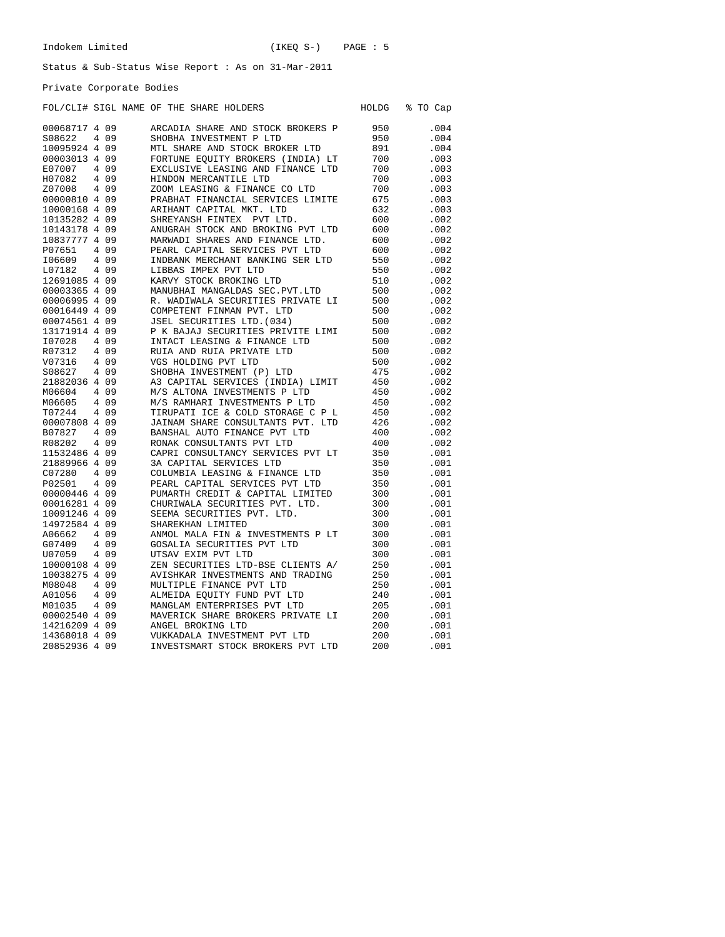Private Corporate Bodies

### FOL/CLI# SIGL NAME OF THE SHARE HOLDERS HOLDG % TO Cap

| 00068717 4 09 |       | ARCADIA SHARE AND STOCK BROKERS P | 950        | .004 |
|---------------|-------|-----------------------------------|------------|------|
| S08622        | 4 0 9 | SHOBHA INVESTMENT P LTD           | 950        | .004 |
| 10095924 4 09 |       | MTL SHARE AND STOCK BROKER LTD    | 891        | .004 |
| 00003013 4 09 |       | FORTUNE EOUITY BROKERS (INDIA) LT | 700        | .003 |
| E07007        | 4 0 9 | EXCLUSIVE LEASING AND FINANCE LTD | 700        | .003 |
| H07082        | 4 0 9 | HINDON MERCANTILE LTD             | 700        | .003 |
| Z07008        | 4 0 9 | ZOOM LEASING & FINANCE CO LTD     | 700        | .003 |
| 00000810 4 09 |       | PRABHAT FINANCIAL SERVICES LIMITE | 675        | .003 |
| 10000168 4 09 |       | ARIHANT CAPITAL MKT. LTD          | 632        | .003 |
| 10135282 4 09 |       | SHREYANSH FINTEX<br>PVT LTD.      | 600        | .002 |
| 10143178 4 09 |       | ANUGRAH STOCK AND BROKING PVT LTD | 600        | .002 |
| 10837777 4 09 |       | MARWADI SHARES AND FINANCE LTD.   | 600        | .002 |
| P07651        | 4 0 9 | PEARL CAPITAL SERVICES PVT LTD    | 600        | .002 |
| I06609        | 409   | INDBANK MERCHANT BANKING SER LTD  | 550        | .002 |
| L07182        | 409   | LIBBAS IMPEX PVT LTD              | 550        | .002 |
| 12691085 4 09 |       | KARVY STOCK BROKING LTD           | 510        | .002 |
| 00003365 4 09 |       | MANUBHAI MANGALDAS SEC. PVT. LTD  | 500        | .002 |
| 00006995 4 09 |       | R. WADIWALA SECURITIES PRIVATE LI | 500        | .002 |
| 00016449 4 09 |       | COMPETENT FINMAN PVT. LTD         | 500        | .002 |
| 00074561 4 09 |       | JSEL SECURITIES LTD. (034)        | 500        | .002 |
| 13171914 4 09 |       | P K BAJAJ SECURITIES PRIVITE LIMI | 500        | .002 |
| I07028        | 4 0 9 | INTACT LEASING & FINANCE LTD      | 500        | .002 |
| R07312        | 4 0 9 | RUIA AND RUIA PRIVATE LTD         | 500        | .002 |
| V07316        | 4 0 9 | VGS HOLDING PVT LTD               | 500        | .002 |
| S08627        | 4 0 9 | SHOBHA INVESTMENT (P) LTD         | 475        | .002 |
| 21882036 4 09 |       | A3 CAPITAL SERVICES (INDIA) LIMIT | 450        | .002 |
| M06604        | 4 0 9 | M/S ALTONA INVESTMENTS P LTD      | 450        | .002 |
| M06605        | 4 0 9 | M/S RAMHARI INVESTMENTS P LTD     | 450        | .002 |
| T07244        | 4 0 9 | TIRUPATI ICE & COLD STORAGE C P L | 450        | .002 |
| 00007808 4 09 |       | JAINAM SHARE CONSULTANTS PVT. LTD |            | .002 |
| B07827        | 4 0 9 | BANSHAL AUTO FINANCE PVT LTD      | 426<br>400 | .002 |
| R08202        | 4 0 9 | RONAK CONSULTANTS PVT LTD         | 400        | .002 |
|               |       |                                   |            | .001 |
| 11532486 4 09 |       | CAPRI CONSULTANCY SERVICES PVT LT | 350        |      |
| 21889966 4 09 |       | 3A CAPITAL SERVICES LTD           | 350        | .001 |
| C07280        | 4 0 9 | COLUMBIA LEASING & FINANCE LTD    | 350        | .001 |
| P02501        | 409   | PEARL CAPITAL SERVICES PVT LTD    | 350        | .001 |
| 00000446 4 09 |       | PUMARTH CREDIT & CAPITAL LIMITED  | 300        | .001 |
| 00016281 4 09 |       | CHURIWALA SECURITIES PVT. LTD.    | 300        | .001 |
| 10091246 4 09 |       | SEEMA SECURITIES PVT. LTD.        | 300        | .001 |
| 14972584 4 09 |       | SHAREKHAN LIMITED                 | 300        | .001 |
| A06662        | 409   | ANMOL MALA FIN & INVESTMENTS P LT | 300        | .001 |
| G07409        | 409   | GOSALIA SECURITIES PVT LTD        | 300        | .001 |
| U07059        | 4 0 9 | UTSAV EXIM PVT LTD                | 300        | .001 |
| 10000108 4 09 |       | ZEN SECURITIES LTD-BSE CLIENTS A/ | 250        | .001 |
| 10038275 4 09 |       | AVISHKAR INVESTMENTS AND TRADING  | 250        | .001 |
| M08048        | 4 0 9 | MULTIPLE FINANCE PVT LTD          | 250        | .001 |
| A01056        | 4 0 9 | ALMEIDA EQUITY FUND PVT LTD       | 240        | .001 |
| M01035        | 409   | MANGLAM ENTERPRISES PVT LTD       | 205        | .001 |
| 00002540 4 09 |       | MAVERICK SHARE BROKERS PRIVATE LI | 200        | .001 |
| 14216209 4 09 |       | ANGEL BROKING LTD                 | 200        | .001 |
| 14368018 4 09 |       | VUKKADALA INVESTMENT PVT LTD      | 200        | .001 |
| 20852936 4 09 |       | INVESTSMART STOCK BROKERS PVT LTD | 200        | .001 |
|               |       |                                   |            |      |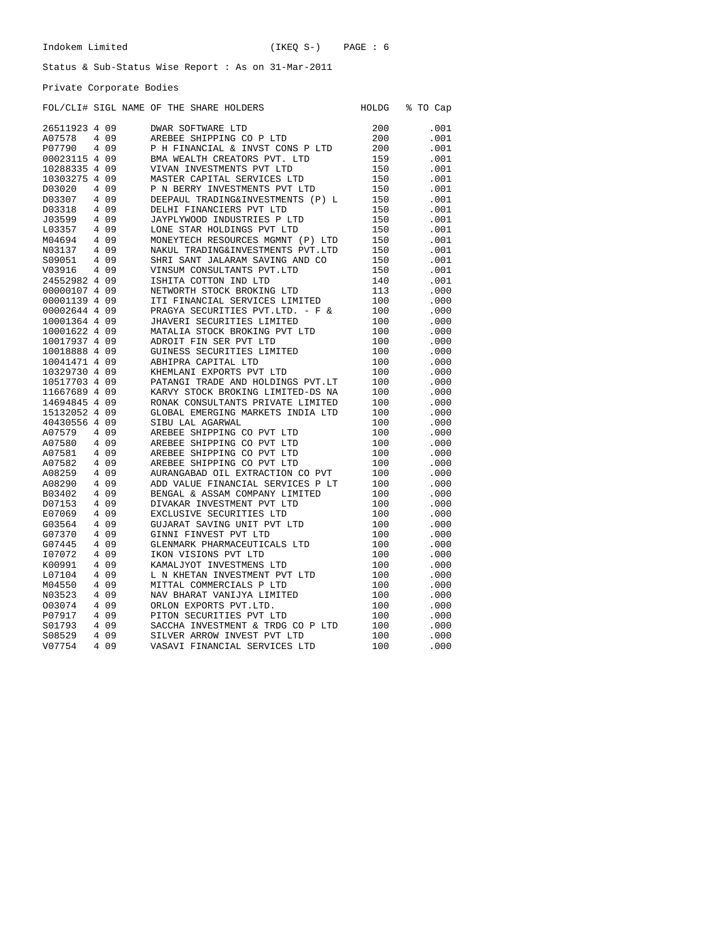Private Corporate Bodies

|               |                |       | FOL/CLI# SIGL NAME OF THE SHARE HOLDERS | HOLDG | % TO Cap |
|---------------|----------------|-------|-----------------------------------------|-------|----------|
| 26511923 4 09 |                |       | <b>DWAR SOFTWARE LTD</b>                | 200   | .001     |
| A07578        | 4              | 09    | AREBEE SHIPPING CO P LTD                | 200   | .001     |
| P07790        | 4              | 09    | P H FINANCIAL & INVST CONS P LTD        | 200   | .001     |
| 00023115 4 09 |                |       | BMA WEALTH CREATORS PVT. LTD            | 159   | .001     |
| 10288335 4    |                | 09    | VIVAN INVESTMENTS PVT LTD               | 150   | .001     |
| 10303275 4    |                | 09    | MASTER CAPITAL SERVICES LTD             | 150   | .001     |
| D03020        | 4              | 09    | P N BERRY INVESTMENTS PVT LTD           | 150   | .001     |
| D03307        |                | 4 0 9 | DEEPAUL TRADING&INVESTMENTS (P) L       | 150   | .001     |
| D03318        | 4              | -09   | DELHI FINANCIERS PVT LTD                | 150   | .001     |
| J03599        | 4              | 09    | JAYPLYWOOD INDUSTRIES P LTD             | 150   | .001     |
| L03357        | 4              | 09    | LONE STAR HOLDINGS PVT LTD              | 150   | .001     |
| M04694        |                | 4 0 9 | MONEYTECH RESOURCES MGMNT (P) LTD       | 150   | .001     |
| N03137        | 4              | 09    | NAKUL TRADING&INVESTMENTS PVT.LTD       | 150   | .001     |
| S09051        | 4              | 09    | SHRI SANT JALARAM SAVING AND CO         | 150   | .001     |
| V03916        |                | 4 0 9 | VINSUM CONSULTANTS PVT.LTD              | 150   | .001     |
| 24552982 4 09 |                |       | ISHITA COTTON IND LTD                   | 140   | .001     |
| 00000107 4 09 |                |       | NETWORTH STOCK BROKING LTD              | 113   | .000     |
| 00001139 4 09 |                |       | ITI FINANCIAL SERVICES LIMITED          | 100   | .000     |
| 00002644 4 09 |                |       | PRAGYA SECURITIES PVT.LTD. - F &        | 100   | .000     |
| 10001364 4 09 |                |       | JHAVERI SECURITIES LIMITED              | 100   | .000     |
| 10001622 4 09 |                |       | MATALIA STOCK BROKING PVT LTD           | 100   | .000     |
| 10017937 4 09 |                |       | ADROIT FIN SER PVT LTD                  | 100   | .000     |
| 10018888 4 09 |                |       | GUINESS SECURITIES LIMITED              | 100   | .000     |
| 10041471 4 09 |                |       | ABHIPRA CAPITAL LTD                     | 100   | .000     |
| 10329730 4 09 |                |       | KHEMLANI EXPORTS PVT LTD                | 100   | .000     |
| 10517703 4 09 |                |       | PATANGI TRADE AND HOLDINGS PVT.LT       | 100   | .000     |
| 11667689 4 09 |                |       | KARVY STOCK BROKING LIMITED-DS NA       | 100   | .000     |
| 14694845 4    |                | 09    | RONAK CONSULTANTS PRIVATE LIMITED       | 100   | .000     |
| 15132052 4    |                | 09    | GLOBAL EMERGING MARKETS INDIA LTD       | 100   | .000     |
| 40430556 4 09 |                |       | SIBU LAL AGARWAL                        | 100   | .000     |
| A07579        |                | 4 0 9 | AREBEE SHIPPING CO PVT LTD              | 100   | .000     |
| A07580        |                | 4 0 9 | AREBEE SHIPPING CO PVT LTD              | 100   | .000     |
| A07581        |                | 4 0 9 | AREBEE SHIPPING CO PVT LTD              | 100   | .000     |
| A07582        |                | 4 0 9 | AREBEE SHIPPING CO PVT LTD              | 100   | .000     |
| A08259        | 4              | 09    | AURANGABAD OIL EXTRACTION CO PVT        | 100   | .000     |
| A08290        | 4              | 09    | ADD VALUE FINANCIAL SERVICES P LT       | 100   | .000     |
| B03402        |                | 4 0 9 | BENGAL & ASSAM COMPANY LIMITED          | 100   | .000     |
| D07153        | 4              | 09    | DIVAKAR INVESTMENT PVT LTD              | 100   | .000     |
| E07069        | 4              | 09    | EXCLUSIVE SECURITIES LTD                | 100   | .000     |
| G03564        |                | 4 0 9 | GUJARAT SAVING UNIT PVT LTD             | 100   | .000     |
| G07370        | 4              | 09    | GINNI FINVEST PVT LTD                   | 100   | .000     |
| G07445        | $\overline{4}$ | 09    | GLENMARK PHARMACEUTICALS LTD            | 100   | .000     |
| I07072        | 4              | 09    | IKON VISIONS PVT LTD                    | 100   | .000     |
| K00991        | $\overline{4}$ | 09    | KAMALJYOT INVESTMENS LTD                | 100   | .000     |
| L07104        | 4              | 09    | L N KHETAN INVESTMENT PVT LTD           | 100   | .000     |
| M04550        | 4              | 09    | MITTAL COMMERCIALS P LTD                | 100   | .000     |
| N03523        | 4              | 09    | NAV BHARAT VANIJYA LIMITED              | 100   | .000     |
| 003074        |                | 4 0 9 | ORLON EXPORTS PVT.LTD.                  | 100   | .000     |
| P07917        | 4              | 09    | PITON SECURITIES PVT LTD                | 100   | .000     |
| S01793        | 4              | 09    | SACCHA INVESTMENT & TRDG CO P LTD       | 100   | .000     |
| S08529        | 4              | 09    | SILVER ARROW INVEST PVT LTD             | 100   | .000     |
| V07754        | 4              | 09    | VASAVI FINANCIAL SERVICES LTD           | 100   | .000     |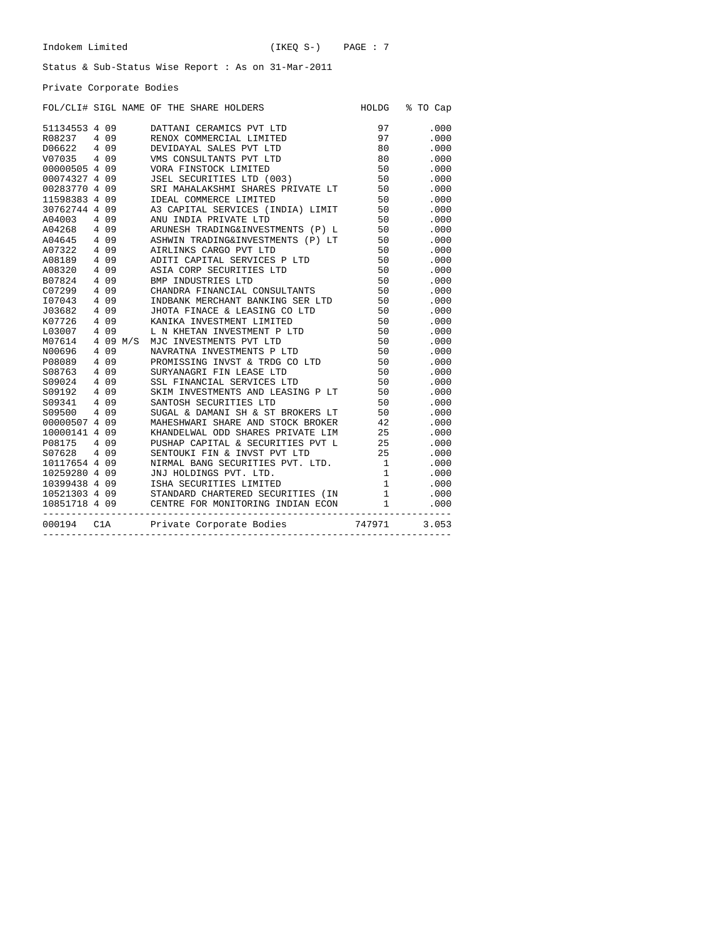Private Corporate Bodies

|                            |  | FOL/CLI# SIGL NAME OF THE SHARE HOLDERS                                                                                                                                                                                                                | HOLDG % TO Cap |
|----------------------------|--|--------------------------------------------------------------------------------------------------------------------------------------------------------------------------------------------------------------------------------------------------------|----------------|
| 51134553 4 09              |  | DATTANI CERAMICS PVT LTD<br>PRENOX COMMERCIAL LIMITED<br>97<br>DEVIDAYAL SALES PVT LTD<br>90<br>VMS CONSULTANTS PVT LTD<br>90<br>VORA FINSTOCK LIMITED<br>50<br>JSEL SECURITIES LTD (003)<br>SRI MAHALAKSHMI SHARES PRIVATE LT<br>50<br>IDEAL COMMERCE | .000           |
| R08237 4 09                |  |                                                                                                                                                                                                                                                        | .000           |
|                            |  |                                                                                                                                                                                                                                                        | .000           |
| D06622 4 09<br>V07035 4 09 |  |                                                                                                                                                                                                                                                        | .000           |
| 00000505 4 09              |  |                                                                                                                                                                                                                                                        | .000           |
| 00074327 4 09              |  |                                                                                                                                                                                                                                                        | .000           |
| 00283770 4 09              |  |                                                                                                                                                                                                                                                        | .000           |
| 11598383 4 09              |  |                                                                                                                                                                                                                                                        | .000           |
| 30762744 4 09              |  |                                                                                                                                                                                                                                                        | .000           |
|                            |  |                                                                                                                                                                                                                                                        | .000           |
|                            |  |                                                                                                                                                                                                                                                        | .000           |
|                            |  |                                                                                                                                                                                                                                                        | .000           |
|                            |  | 30762744 4 09 A3 CAPITAL SERVICES (INDIA, ELITERRE CONTRACTOR AND INDIA PRIVATE LTD 50<br>A04268 4 09 ARUNESH TRADING&INVESTMENTS (P) L 50<br>A04645 4 09 ASHWIN TRADING&INVESTMENTS (P) LT 50<br>A07322 4 09 AIRLINKS CARGO PVT LT                    | .000           |
|                            |  |                                                                                                                                                                                                                                                        | .000           |
|                            |  |                                                                                                                                                                                                                                                        | .000           |
|                            |  |                                                                                                                                                                                                                                                        | .000           |
|                            |  |                                                                                                                                                                                                                                                        | .000           |
|                            |  | 107043  4  09  INDBANK MERCHANT BANKING SER LTD 50<br>J03682  4  09  JHOTA FINACE & LEASING CO LTD 50<br>KO7726  4  09  KANIKA INVESTMENT LIMITED 50                                                                                                   | .000           |
|                            |  |                                                                                                                                                                                                                                                        | .000           |
|                            |  |                                                                                                                                                                                                                                                        | .000           |
| L03007 4 09                |  | L N KHETAN INVESTMENT P LTD 50<br>MJC INVESTMENTS PVT LTD 50<br>NAVRATNA INVESTMENTS P LTD 50<br>PROMISSING INVST & TRDG CO LTD 50<br>SURYANNGRE FIN LEASE LTD 50<br>SURYANGRE TENE CO LTD 50<br>SURYANGRE TENE CO LTD 50<br>SURYANGRE LTD 5           | .000           |
| M07614 4 09 M/S            |  |                                                                                                                                                                                                                                                        | .000           |
| N00696 4 09<br>P08089 4 09 |  |                                                                                                                                                                                                                                                        | .000           |
|                            |  |                                                                                                                                                                                                                                                        | .000           |
|                            |  |                                                                                                                                                                                                                                                        | .000           |
|                            |  |                                                                                                                                                                                                                                                        | .000           |
|                            |  |                                                                                                                                                                                                                                                        | .000           |
|                            |  | 1008763 4 09 SURYANAGRI FIN LEASE LTD 50<br>S09024 4 09 SSL FINANCIAL SERVICES LTD 50<br>S09192 4 09 SKIM INVESTMENTS AND LEASING P LT 50<br>S09341 4 09 SANTOSH SECURITIES LTD 50<br>S09500 4 09 SUGAL & DAMANI SH & ST BROKERS LT 50                 | .000           |
|                            |  |                                                                                                                                                                                                                                                        | .000           |
|                            |  |                                                                                                                                                                                                                                                        |                |
|                            |  |                                                                                                                                                                                                                                                        |                |
|                            |  |                                                                                                                                                                                                                                                        |                |
|                            |  |                                                                                                                                                                                                                                                        |                |
|                            |  |                                                                                                                                                                                                                                                        |                |
|                            |  |                                                                                                                                                                                                                                                        |                |
|                            |  |                                                                                                                                                                                                                                                        |                |
|                            |  |                                                                                                                                                                                                                                                        |                |
|                            |  |                                                                                                                                                                                                                                                        |                |
|                            |  |                                                                                                                                                                                                                                                        |                |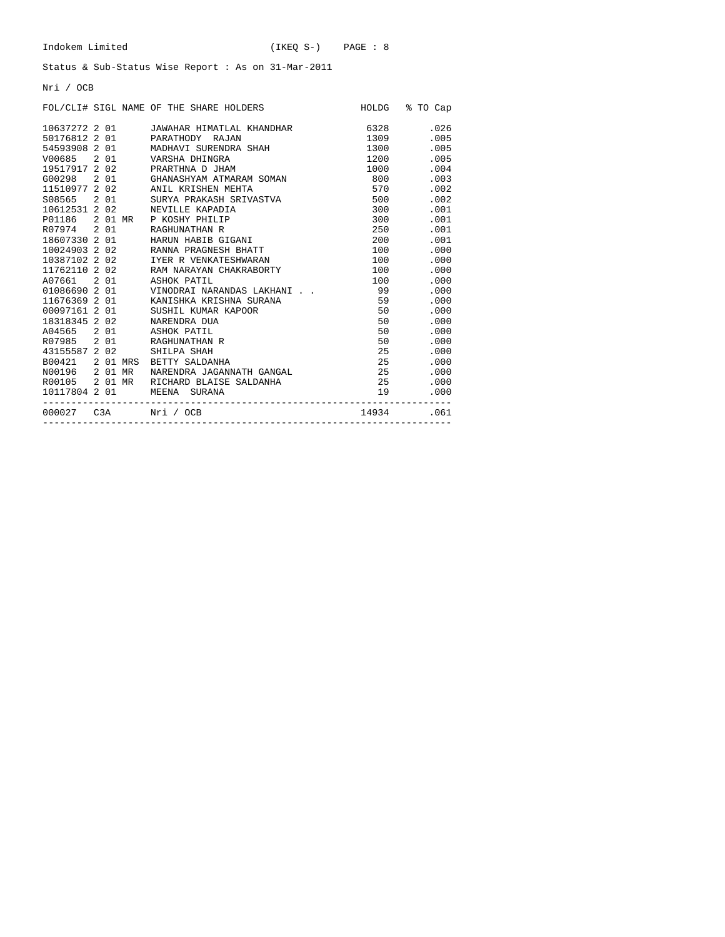Nri / OCB

|  |  | FOL/CLI# SIGL NAME OF THE SHARE HOLDERS                           |         | HOLDG % TO Cap                                                                                                                                                                                                                          |
|--|--|-------------------------------------------------------------------|---------|-----------------------------------------------------------------------------------------------------------------------------------------------------------------------------------------------------------------------------------------|
|  |  | 10637272 2 01 JAWAHAR HIMATLAL KHANDHAR 6328                      |         | .026                                                                                                                                                                                                                                    |
|  |  | 50176812 2 01 PARATHODY RAJAN                                     | 1309    | .005                                                                                                                                                                                                                                    |
|  |  |                                                                   | 1300    | .005                                                                                                                                                                                                                                    |
|  |  | 54593908 2 01 MADHAVI SURENDRA SHAH<br>V00685 2 01 VARSHA DHINGRA | 1200    | .005                                                                                                                                                                                                                                    |
|  |  | 19517917 2 02 PRARTHNA D JHAM                                     | 1000    | .004                                                                                                                                                                                                                                    |
|  |  | G00298 2 01 GHANASHYAM ATMARAM SOMAN                              | 800     | .003                                                                                                                                                                                                                                    |
|  |  | 11510977 2 02 ANIL KRISHEN MEHTA                                  | 570     | .002                                                                                                                                                                                                                                    |
|  |  | S08565 201 SURYA PRAKASH SRIVASTVA                                | 500     | .002                                                                                                                                                                                                                                    |
|  |  | 10612531 2 02 NEVILLE KAPADIA                                     | 300 000 | .001                                                                                                                                                                                                                                    |
|  |  | P01186 2 01 MR P KOSHY PHILIP                                     |         | .001<br>300 000                                                                                                                                                                                                                         |
|  |  | R07974 2 01 RAGHUNATHAN R                                         |         | .001<br>250 31                                                                                                                                                                                                                          |
|  |  | 18607330 2 01 HARUN HABIB GIGANI                                  | 200 000 | .001                                                                                                                                                                                                                                    |
|  |  |                                                                   | 100 000 | .000                                                                                                                                                                                                                                    |
|  |  |                                                                   | 100 000 | .000                                                                                                                                                                                                                                    |
|  |  | 11762110 2 02 RAM NARAYAN CHAKRABORTY                             | 100     | .000                                                                                                                                                                                                                                    |
|  |  | A07661 2 01 ASHOK PATIL                                           | 100     | .000                                                                                                                                                                                                                                    |
|  |  | 01086690 2 01 VINODRAI NARANDAS LAKHANI                           | 99      | .000                                                                                                                                                                                                                                    |
|  |  | 11676369 2 01 KANISHKA KRISHNA SURANA                             | 59      | .000                                                                                                                                                                                                                                    |
|  |  | 00097161 2 01 SUSHIL KUMAR KAPOOR                                 | 50      | .000                                                                                                                                                                                                                                    |
|  |  |                                                                   |         | 50 — 10<br>.000                                                                                                                                                                                                                         |
|  |  | A04565 2 01 ASHOK PATIL                                           |         | 50 30 30 31 32 33 40 34 35 40 35 40 35 40 35 40 35 40 35 40 35 40 35 40 35 40 35 40 35 40 35 40 35 40 35 40 35 40 35 40 35 40 35 40 35 40 35 40 35 40 35 40 35 40 35 40 35 40 35 40 35 40 35 40 35 40 35 40 35 40 35 40 35 40 3<br>.000 |
|  |  | R07985 2 01 RAGHUNATHAN R                                         |         | 50 70 70 71<br>.000                                                                                                                                                                                                                     |
|  |  | 43155587 2 02 SHILPA SHAH                                         |         | 25 — 25<br>.000                                                                                                                                                                                                                         |
|  |  | B00421 2 01 MRS BETTY SALDANHA                                    |         | 25<br>.000                                                                                                                                                                                                                              |
|  |  | N00196 2 01 MR  NARENDRA JAGANNATH GANGAL                         | 25      | .000                                                                                                                                                                                                                                    |
|  |  | R00105 2 01 MR RICHARD BLAISE SALDANHA                            | 25      | .000                                                                                                                                                                                                                                    |
|  |  | 10117804  2  01   MEENA   SURANA                                  | 19      | .000                                                                                                                                                                                                                                    |
|  |  | 000027 C3A Nri / OCB 14934 .061                                   |         |                                                                                                                                                                                                                                         |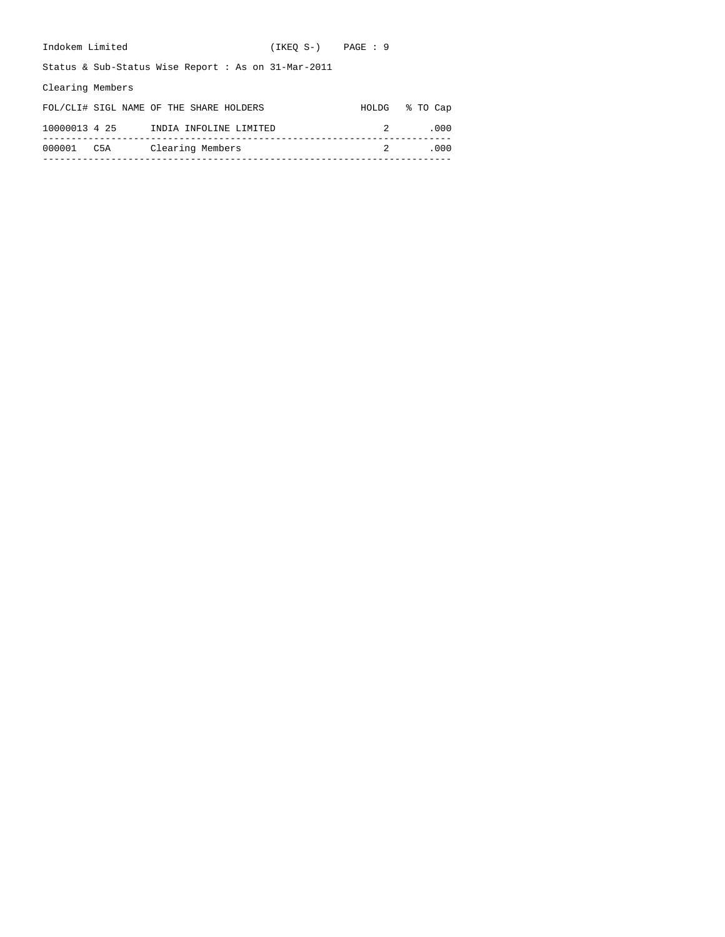| Indokem Limited  |               |                                                       | $(IKEO S-)$ $PAGE : 9$ |       |          |
|------------------|---------------|-------------------------------------------------------|------------------------|-------|----------|
|                  |               | Status & Sub-Status Wise Report : As on $31-Mar-2011$ |                        |       |          |
| Clearing Members |               |                                                       |                        |       |          |
|                  |               | FOL/CLI# SIGL NAME OF THE SHARE HOLDERS               |                        | HOLDG | % TO Cap |
|                  | 10000013 4 25 | INDIA INFOLINE LIMITED                                |                        |       | .000     |
| 000001           | C5A           | Clearing Members                                      |                        | 2     | .000     |
|                  |               |                                                       |                        |       |          |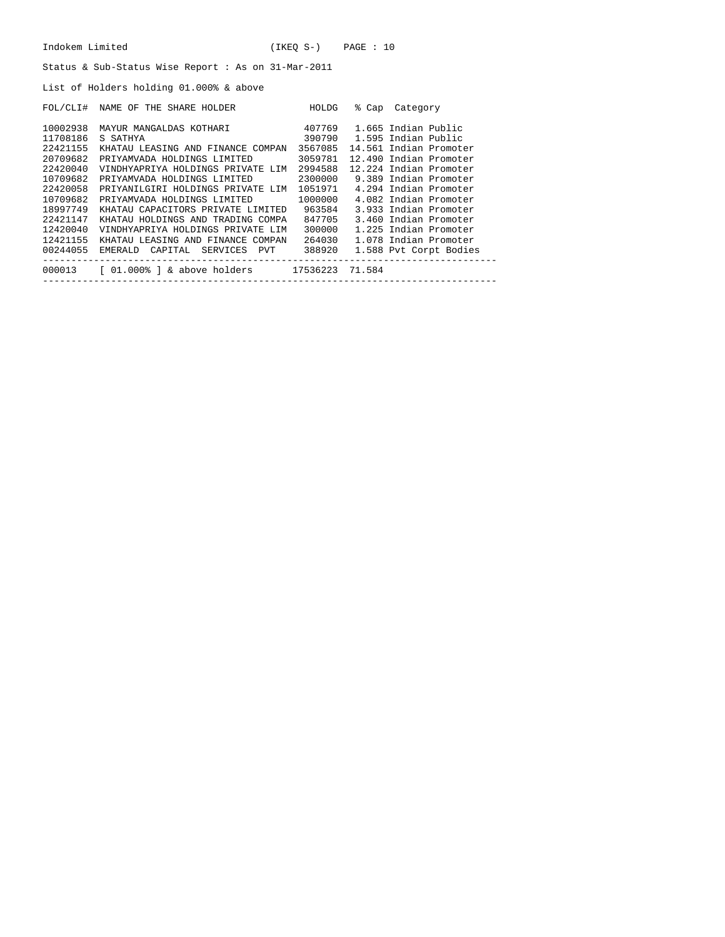| Indokem Limited                                     |                                                                                         | $(IKEO S-)$ PAGE : 10 |  |                        |  |  |  |  |  |
|-----------------------------------------------------|-----------------------------------------------------------------------------------------|-----------------------|--|------------------------|--|--|--|--|--|
| Status & Sub-Status Wise Report : As on 31-Mar-2011 |                                                                                         |                       |  |                        |  |  |  |  |  |
|                                                     | List of Holders holding 01.000% & above                                                 |                       |  |                        |  |  |  |  |  |
|                                                     | FOL/CLI# NAME OF THE SHARE HOLDER HOLDG                                                 |                       |  | % Cap Category         |  |  |  |  |  |
| 10002938                                            | MAYUR MANGALDAS KOTHARI 407769                                                          |                       |  | 1.665 Indian Public    |  |  |  |  |  |
| 11708186                                            | 390790 1.595 Indian Public<br>S SATHYA                                                  |                       |  |                        |  |  |  |  |  |
| 22421155                                            | KHATAU LEASING AND FINANCE COMPAN 3567085 14.561 Indian Promoter                        |                       |  |                        |  |  |  |  |  |
| 20709682                                            | PRIYAMVADA HOLDINGS LIMITED 3059781 12.490 Indian Promoter                              |                       |  |                        |  |  |  |  |  |
| 22420040                                            | VINDHYAPRIYA HOLDINGS PRIVATE LIM 2994588 12.224 Indian Promoter                        |                       |  |                        |  |  |  |  |  |
| 10709682                                            | PRIYAMVADA HOLDINGS LIMITED 2300000 9.389 Indian Promoter                               |                       |  |                        |  |  |  |  |  |
| 22420058                                            | PRIYANILGIRI HOLDINGS PRIVATE LIM 1051971 4.294 Indian Promoter                         |                       |  |                        |  |  |  |  |  |
| 10709682                                            | PRIYAMVADA HOLDINGS LIMITED 1000000 4.082 Indian Promoter                               |                       |  |                        |  |  |  |  |  |
| 18997749                                            | KHATAU CAPACITORS PRIVATE LIMITED 963584                                                |                       |  | 3.933 Indian Promoter  |  |  |  |  |  |
| 22421147                                            | KHATAU HOLDINGS AND TRADING COMPA 847705                                                |                       |  | 3.460 Indian Promoter  |  |  |  |  |  |
| 12420040                                            | VINDHYAPRIYA HOLDINGS PRIVATE LIM 300000                                                |                       |  | 1.225 Indian Promoter  |  |  |  |  |  |
|                                                     | 12421155 KHATAU LEASING AND FINANCE COMPAN 264030                                       |                       |  | 1.078 Indian Promoter  |  |  |  |  |  |
|                                                     | 00244055 EMERALD CAPITAL SERVICES PVT 388920                                            |                       |  | 1.588 Pvt Corpt Bodies |  |  |  |  |  |
|                                                     | 000013 [ 01.000% ] & above holders 17536223 71.584<br>_________________________________ |                       |  |                        |  |  |  |  |  |
|                                                     |                                                                                         |                       |  |                        |  |  |  |  |  |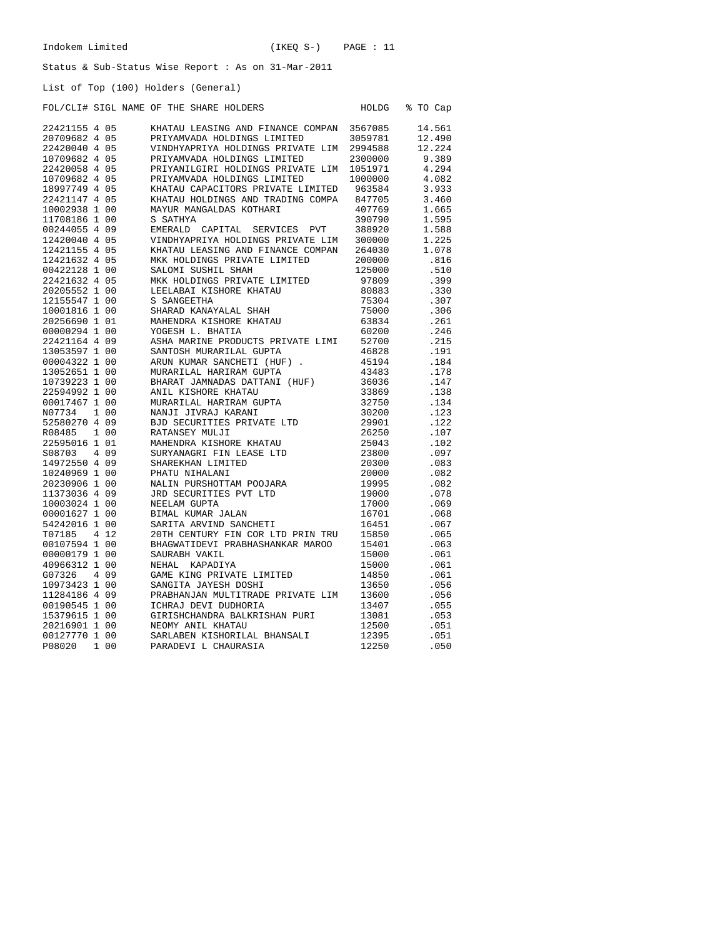HOLDG % TO Cap

#### Status & Sub-Status Wise Report : As on 31-Mar-2011

List of Top (100) Holders (General)

| FOL/CLI# SIGL NAME OF THE SHARE HOLDERS |  |  |  |  |  |  |
|-----------------------------------------|--|--|--|--|--|--|
|-----------------------------------------|--|--|--|--|--|--|

| 22421155 4 05 |       | KHATAU LEASING AND FINANCE COMPAN | 3567085 | 14.561 |
|---------------|-------|-----------------------------------|---------|--------|
| 20709682 4 05 |       | PRIYAMVADA HOLDINGS LIMITED       | 3059781 | 12.490 |
| 22420040 4 05 |       | VINDHYAPRIYA HOLDINGS PRIVATE LIM | 2994588 | 12.224 |
| 10709682 4 05 |       | PRIYAMVADA HOLDINGS LIMITED       | 2300000 | 9.389  |
| 22420058 4 05 |       | PRIYANILGIRI HOLDINGS PRIVATE LIM | 1051971 | 4.294  |
| 10709682 4 05 |       | PRIYAMVADA HOLDINGS LIMITED       | 1000000 | 4.082  |
| 18997749 4 05 |       | KHATAU CAPACITORS PRIVATE LIMITED | 963584  | 3.933  |
| 22421147 4 05 |       | KHATAU HOLDINGS AND TRADING COMPA | 847705  | 3.460  |
| 10002938 1 00 |       | MAYUR MANGALDAS KOTHARI           | 407769  | 1.665  |
| 11708186 1 00 |       | S SATHYA                          | 390790  | 1.595  |
| 00244055 4 09 |       | EMERALD CAPITAL SERVICES PVT      | 388920  | 1.588  |
| 12420040 4 05 |       | VINDHYAPRIYA HOLDINGS PRIVATE LIM | 300000  | 1.225  |
| 12421155 4 05 |       | KHATAU LEASING AND FINANCE COMPAN | 264030  | 1.078  |
| 12421632 4 05 |       | MKK HOLDINGS PRIVATE LIMITED      | 200000  | .816   |
| 00422128 1 00 |       | SALOMI SUSHIL SHAH                | 125000  | .510   |
| 22421632 4 05 |       | MKK HOLDINGS PRIVATE LIMITED      | 97809   | .399   |
| 20205552 1 00 |       | LEELABAI KISHORE KHATAU           | 80883   | .330   |
| 12155547 1 00 |       | S SANGEETHA                       | 75304   | .307   |
| 10001816 1 00 |       | SHARAD KANAYALAL SHAH             | 75000   | .306   |
| 20256690 1 01 |       | MAHENDRA KISHORE KHATAU           | 63834   | .261   |
| 00000294 1 00 |       | YOGESH L. BHATIA                  | 60200   | .246   |
| 22421164 4 09 |       | ASHA MARINE PRODUCTS PRIVATE LIMI | 52700   | .215   |
| 13053597 1 00 |       | SANTOSH MURARILAL GUPTA           | 46828   | .191   |
| 00004322 1 00 |       | ARUN KUMAR SANCHETI (HUF).        | 45194   | .184   |
| 13052651 1 00 |       | MURARILAL HARIRAM GUPTA           | 43483   | .178   |
| 10739223 1 00 |       | BHARAT JAMNADAS DATTANI (HUF)     | 36036   | .147   |
| 22594992 1 00 |       | ANIL KISHORE KHATAU               | 33869   | .138   |
| 00017467 1 00 |       | MURARILAL HARIRAM GUPTA           | 32750   | .134   |
| N07734        | 1 0 0 | NANJI JIVRAJ KARANI               | 30200   | .123   |
| 52580270 4 09 |       | BJD SECURITIES PRIVATE LTD        | 29901   | .122   |
| R08485        | 1 00  | RATANSEY MULJI                    | 26250   | .107   |
| 22595016 1 01 |       | MAHENDRA KISHORE KHATAU           | 25043   | .102   |
| S08703        | 409   | SURYANAGRI FIN LEASE LTD          | 23800   | .097   |
| 14972550 4 09 |       | SHAREKHAN LIMITED                 | 20300   | .083   |
| 10240969 1 00 |       | PHATU NIHALANI                    | 20000   | .082   |
| 20230906 1 00 |       | NALIN PURSHOTTAM POOJARA          | 19995   | .082   |
| 11373036 4 09 |       | JRD SECURITIES PVT LTD            | 19000   | .078   |
| 10003024 1 00 |       | NEELAM GUPTA                      | 17000   | .069   |
| 00001627 1 00 |       | BIMAL KUMAR JALAN                 | 16701   | .068   |
| 54242016 1 00 |       | SARITA ARVIND SANCHETI            | 16451   | .067   |
| T07185        | 4 1 2 | 20TH CENTURY FIN COR LTD PRIN TRU | 15850   | .065   |
| 00107594 1 00 |       | BHAGWATIDEVI PRABHASHANKAR MAROO  | 15401   | .063   |
| 00000179 1 00 |       | SAURABH VAKIL                     | 15000   | .061   |
| 40966312 1 00 |       | NEHAL KAPADIYA                    | 15000   | .061   |
| G07326        | 4 0 9 | GAME KING PRIVATE LIMITED         | 14850   | .061   |
| 10973423 1 00 |       | SANGITA JAYESH DOSHI              | 13650   | .056   |
| 11284186 4 09 |       | PRABHANJAN MULTITRADE PRIVATE LIM | 13600   | .056   |
| 00190545 1 00 |       | ICHRAJ DEVI DUDHORIA              | 13407   | .055   |
| 15379615 1 00 |       | GIRISHCHANDRA BALKRISHAN PURI     | 13081   | .053   |
| 20216901 1 00 |       | NEOMY ANIL KHATAU                 | 12500   | .051   |
| 00127770 1 00 |       | SARLABEN KISHORILAL BHANSALI      | 12395   | .051   |
| P08020        | 1 0 0 | PARADEVI L CHAURASIA              | 12250   | .050   |
|               |       |                                   |         |        |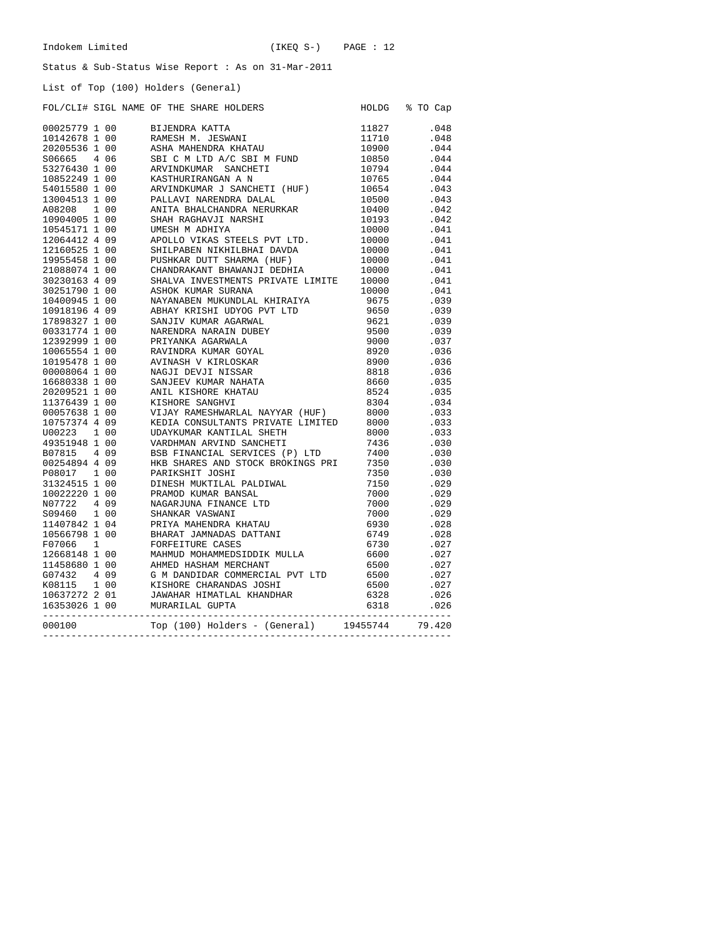List of Top (100) Holders (General)

|        |  |                                                                                                                                                                                                                                                                                           |                | HOLDG % TO Cap   |
|--------|--|-------------------------------------------------------------------------------------------------------------------------------------------------------------------------------------------------------------------------------------------------------------------------------------------|----------------|------------------|
|        |  |                                                                                                                                                                                                                                                                                           |                | .048             |
|        |  |                                                                                                                                                                                                                                                                                           | 11827<br>11710 |                  |
|        |  |                                                                                                                                                                                                                                                                                           |                | .048             |
|        |  |                                                                                                                                                                                                                                                                                           |                | .044             |
|        |  |                                                                                                                                                                                                                                                                                           |                | .044             |
|        |  |                                                                                                                                                                                                                                                                                           |                | .044             |
|        |  |                                                                                                                                                                                                                                                                                           |                | .044             |
|        |  |                                                                                                                                                                                                                                                                                           |                | .043             |
|        |  |                                                                                                                                                                                                                                                                                           |                | .043             |
|        |  |                                                                                                                                                                                                                                                                                           |                | .042             |
|        |  |                                                                                                                                                                                                                                                                                           |                | .042             |
|        |  |                                                                                                                                                                                                                                                                                           |                | .041             |
|        |  |                                                                                                                                                                                                                                                                                           |                | .041             |
|        |  |                                                                                                                                                                                                                                                                                           |                | .041             |
|        |  |                                                                                                                                                                                                                                                                                           |                | .041             |
|        |  |                                                                                                                                                                                                                                                                                           |                | .041             |
|        |  |                                                                                                                                                                                                                                                                                           |                | .041             |
|        |  |                                                                                                                                                                                                                                                                                           |                | .041             |
|        |  |                                                                                                                                                                                                                                                                                           |                | .039             |
|        |  |                                                                                                                                                                                                                                                                                           |                | 039 .<br>039 .   |
|        |  |                                                                                                                                                                                                                                                                                           |                | .039             |
|        |  |                                                                                                                                                                                                                                                                                           |                |                  |
|        |  |                                                                                                                                                                                                                                                                                           |                | .039<br>037.     |
|        |  |                                                                                                                                                                                                                                                                                           |                | $.036$<br>$.036$ |
|        |  |                                                                                                                                                                                                                                                                                           |                |                  |
|        |  |                                                                                                                                                                                                                                                                                           |                | .036             |
|        |  |                                                                                                                                                                                                                                                                                           |                |                  |
|        |  |                                                                                                                                                                                                                                                                                           |                | 035.<br>035.     |
|        |  |                                                                                                                                                                                                                                                                                           |                | .034             |
|        |  |                                                                                                                                                                                                                                                                                           |                |                  |
|        |  |                                                                                                                                                                                                                                                                                           |                | .033<br>033.     |
|        |  |                                                                                                                                                                                                                                                                                           |                | .033             |
|        |  |                                                                                                                                                                                                                                                                                           |                | .030             |
|        |  |                                                                                                                                                                                                                                                                                           |                | .030             |
|        |  |                                                                                                                                                                                                                                                                                           |                | .030             |
|        |  |                                                                                                                                                                                                                                                                                           |                |                  |
|        |  |                                                                                                                                                                                                                                                                                           |                | .030             |
|        |  |                                                                                                                                                                                                                                                                                           |                | .029             |
|        |  |                                                                                                                                                                                                                                                                                           |                | 029.<br>029.     |
|        |  |                                                                                                                                                                                                                                                                                           |                |                  |
|        |  |                                                                                                                                                                                                                                                                                           |                | .029             |
|        |  |                                                                                                                                                                                                                                                                                           |                | .028<br>028.     |
|        |  |                                                                                                                                                                                                                                                                                           |                |                  |
|        |  |                                                                                                                                                                                                                                                                                           |                | .027             |
|        |  |                                                                                                                                                                                                                                                                                           |                | .027             |
|        |  |                                                                                                                                                                                                                                                                                           |                | .027             |
|        |  |                                                                                                                                                                                                                                                                                           |                | .027             |
|        |  |                                                                                                                                                                                                                                                                                           |                | .027             |
|        |  |                                                                                                                                                                                                                                                                                           |                | .026             |
|        |  |                                                                                                                                                                                                                                                                                           | 6318           | .026             |
| 000100 |  | POL/CLIP SIGN NAME OF THE SHARE MOLDERS<br>POL/CLIP SIGN NAME OF THE SHARE NOLDERS<br>19925779 1 000<br>1992579 1 000 NATES A ANTES ANTES ANTES 1992<br>1992655 1 000 NATES ANTES ANTES ANTES 1992<br>1992655 1 000 NATIVELY AND ALC SE<br>$Top (100) Holmes - (General) 19455744 79.420$ |                |                  |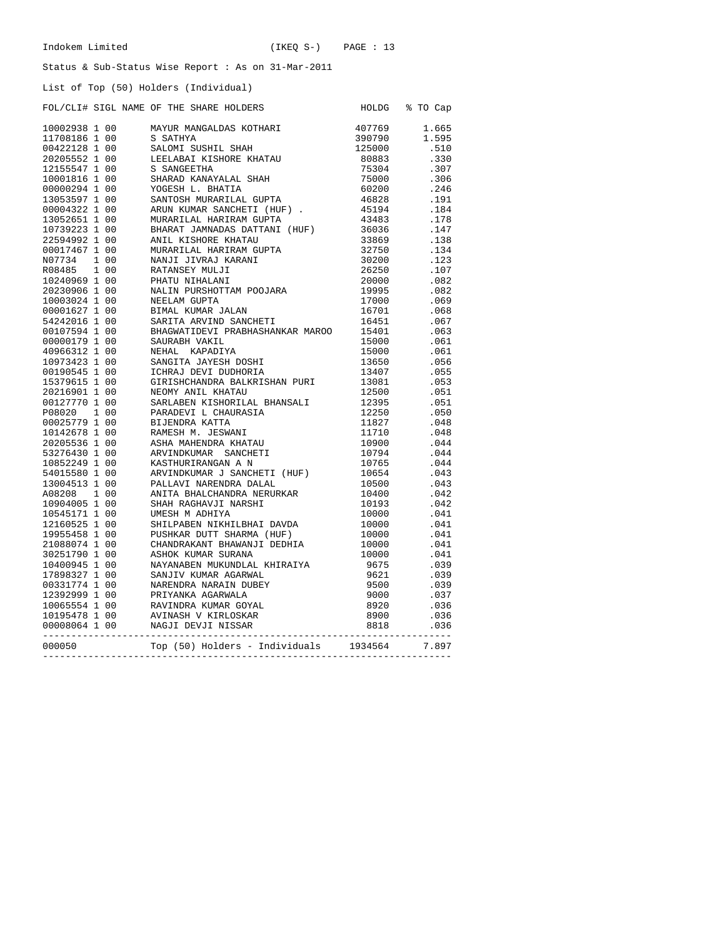HOLDG % TO Cap

#### Status & Sub-Status Wise Report : As on 31-Mar-2011

#### List of Top (50) Holders (Individual)

| FOL/CLI# SIGL NAME OF THE SHARE HOLDERS |  |  |  |  |
|-----------------------------------------|--|--|--|--|
|                                         |  |  |  |  |

|        |  |                                                                                                                                                                                                                                           | 407769 | 1.665        |
|--------|--|-------------------------------------------------------------------------------------------------------------------------------------------------------------------------------------------------------------------------------------------|--------|--------------|
|        |  |                                                                                                                                                                                                                                           |        | 1.595        |
|        |  |                                                                                                                                                                                                                                           |        | .510         |
|        |  |                                                                                                                                                                                                                                           |        | .330         |
|        |  |                                                                                                                                                                                                                                           |        | .307         |
|        |  |                                                                                                                                                                                                                                           |        | .306         |
|        |  |                                                                                                                                                                                                                                           |        | .246         |
|        |  |                                                                                                                                                                                                                                           |        | .191         |
|        |  |                                                                                                                                                                                                                                           |        | .184         |
|        |  |                                                                                                                                                                                                                                           |        | .178         |
|        |  |                                                                                                                                                                                                                                           |        | .147         |
|        |  |                                                                                                                                                                                                                                           |        | .138         |
|        |  |                                                                                                                                                                                                                                           |        | .134         |
|        |  |                                                                                                                                                                                                                                           |        | .123         |
|        |  |                                                                                                                                                                                                                                           |        | .107         |
|        |  |                                                                                                                                                                                                                                           |        |              |
|        |  |                                                                                                                                                                                                                                           |        | .082         |
|        |  |                                                                                                                                                                                                                                           |        | .082         |
|        |  |                                                                                                                                                                                                                                           |        | 069.<br>068. |
|        |  |                                                                                                                                                                                                                                           |        |              |
|        |  |                                                                                                                                                                                                                                           |        | .067         |
|        |  |                                                                                                                                                                                                                                           |        | .063         |
|        |  |                                                                                                                                                                                                                                           |        | .061         |
|        |  |                                                                                                                                                                                                                                           |        | .061         |
|        |  |                                                                                                                                                                                                                                           |        | .056         |
|        |  |                                                                                                                                                                                                                                           |        | .055         |
|        |  |                                                                                                                                                                                                                                           |        | .053         |
|        |  |                                                                                                                                                                                                                                           |        | .051         |
|        |  |                                                                                                                                                                                                                                           |        | .051         |
|        |  |                                                                                                                                                                                                                                           |        | .050         |
|        |  |                                                                                                                                                                                                                                           |        | .048         |
|        |  |                                                                                                                                                                                                                                           |        | .048         |
|        |  |                                                                                                                                                                                                                                           |        | .044         |
|        |  |                                                                                                                                                                                                                                           |        | .044         |
|        |  |                                                                                                                                                                                                                                           |        | .044         |
|        |  |                                                                                                                                                                                                                                           |        | .043         |
|        |  |                                                                                                                                                                                                                                           |        | .043         |
|        |  |                                                                                                                                                                                                                                           |        | .042         |
|        |  |                                                                                                                                                                                                                                           |        | .042         |
|        |  |                                                                                                                                                                                                                                           |        | .041         |
|        |  |                                                                                                                                                                                                                                           |        | .041         |
|        |  |                                                                                                                                                                                                                                           |        | .041         |
|        |  |                                                                                                                                                                                                                                           |        | .041         |
|        |  |                                                                                                                                                                                                                                           |        | .041         |
|        |  |                                                                                                                                                                                                                                           |        | .039         |
|        |  |                                                                                                                                                                                                                                           |        | .039         |
|        |  |                                                                                                                                                                                                                                           |        | .039         |
|        |  |                                                                                                                                                                                                                                           |        |              |
|        |  |                                                                                                                                                                                                                                           |        | .037         |
|        |  |                                                                                                                                                                                                                                           |        | .036         |
|        |  |                                                                                                                                                                                                                                           |        | .036         |
|        |  |                                                                                                                                                                                                                                           |        | .036         |
| 000050 |  |                                                                                                                                                                                                                                           |        | 7.897        |
|        |  | 10002938 1 00<br>10002938 1 00<br>06 MAYUR MARGALIAN KOTHARI 407769<br>06 36 MATEYA MARGALIAN KOTHARI 1171 1171 1250<br>06 36 MATEYA 118 SANDSETHA ISHU 1250<br>20205552 1 00 6 SANDSETHA MARGALIAN ENGLES (10000 12011)<br>100013414 1 1 |        |              |
|        |  |                                                                                                                                                                                                                                           |        |              |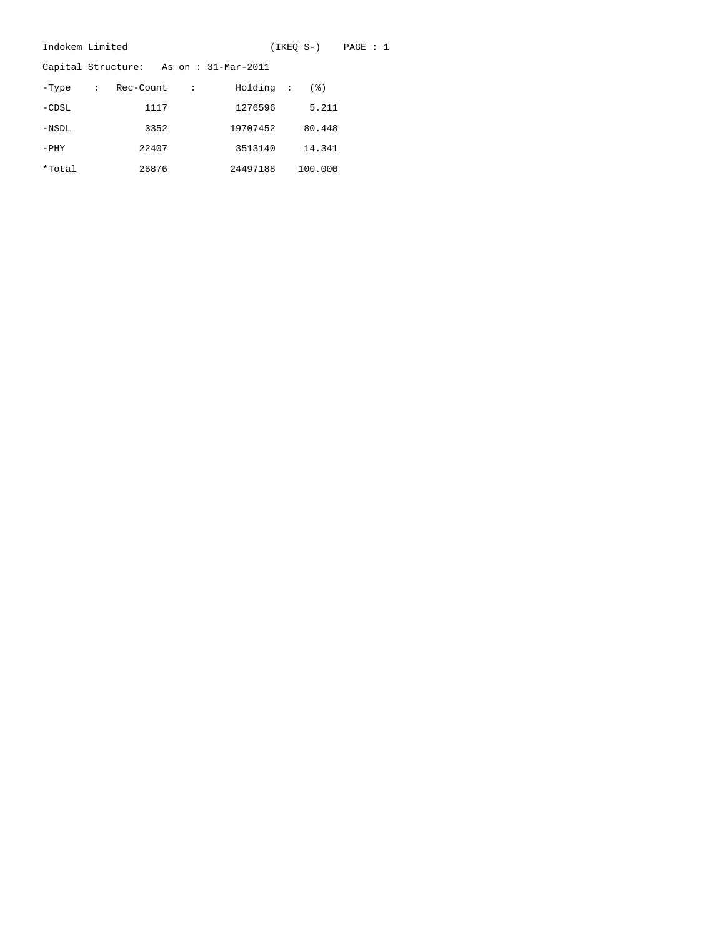| Indokem Limited |             |           |           |                                       |  | (IKEO S-) | PAGE : 1 |  |
|-----------------|-------------|-----------|-----------|---------------------------------------|--|-----------|----------|--|
|                 |             |           |           | Capital Structure: As on: 31-Mar-2011 |  |           |          |  |
| -Type           | $\sim 1000$ | Rec-Count | $\cdot$ : | Holding :                             |  | (3)       |          |  |
| $-CDSL$         |             | 1117      |           | 1276596                               |  | 5.211     |          |  |
| $-NSDL$         |             | 3352      |           | 19707452                              |  | 80.448    |          |  |
| $-$ PHY         |             | 22407     |           | 3513140                               |  | 14.341    |          |  |
| *Total          |             | 26876     |           | 24497188                              |  | 100.000   |          |  |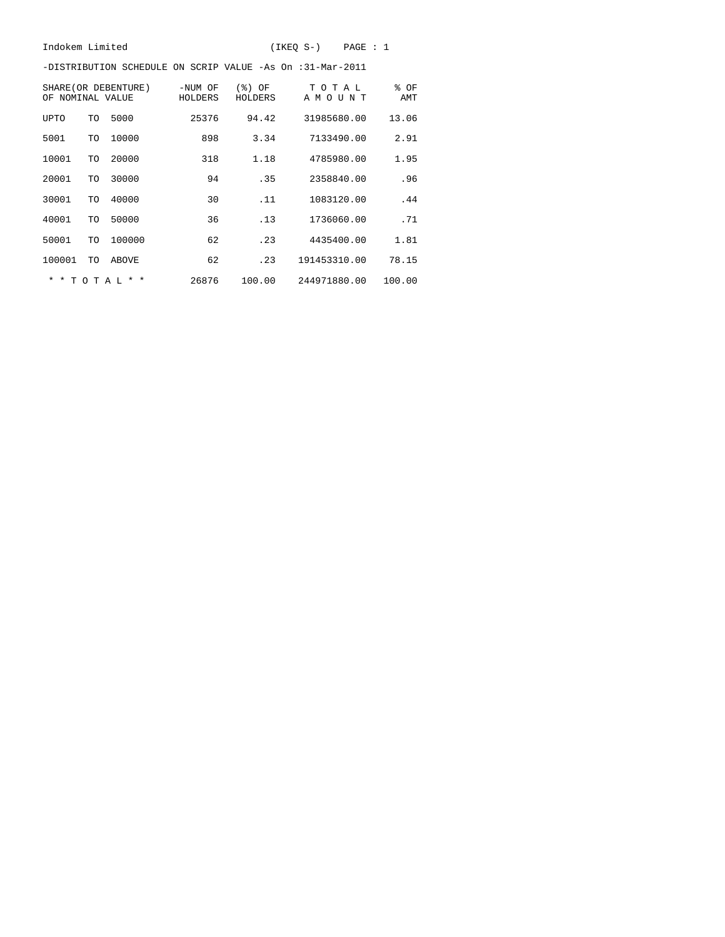-DISTRIBUTION SCHEDULE ON SCRIP VALUE -As On :31-Mar-2011

| ΩF                      |          | SHARE (OR DEBENTURE)<br>NOMINAL VALUE | -NUM OF<br>HOLDERS | (응)<br>ΟF<br>HOLDERS | T<br>O T A L<br>ΑM<br>ŢJ<br>ΝT<br>$\circ$ | % OF<br>AMT |
|-------------------------|----------|---------------------------------------|--------------------|----------------------|-------------------------------------------|-------------|
| UPTO                    | TO       | 5000                                  | 25376              | 94.42                | 31985680.00                               | 13.06       |
| 5001                    | TO       | 10000                                 | 898                | 3.34                 | 7133490.00                                | 2.91        |
| 10001                   | TO       | 20000                                 | 318                | 1.18                 | 4785980.00                                | 1.95        |
| 20001                   | TO       | 30000                                 | 94                 | .35                  | 2358840.00                                | .96         |
| 30001                   | TO       | 40000                                 | 30                 | .11                  | 1083120.00                                | .44         |
| 40001                   | TO       | 50000                                 | 36                 | .13                  | 1736060.00                                | .71         |
| 50001                   | TO       | 100000                                | 62                 | .23                  | 4435400.00                                | 1.81        |
| 100001                  | TO       | ABOVE                                 | 62                 | .23                  | 191453310.00                              | 78.15       |
| $\star$<br>$\ast$<br>T. | $\Omega$ | $\star$<br>$\ast$<br>T A L            | 26876              | 100.00               | 244971880.00                              | 100.00      |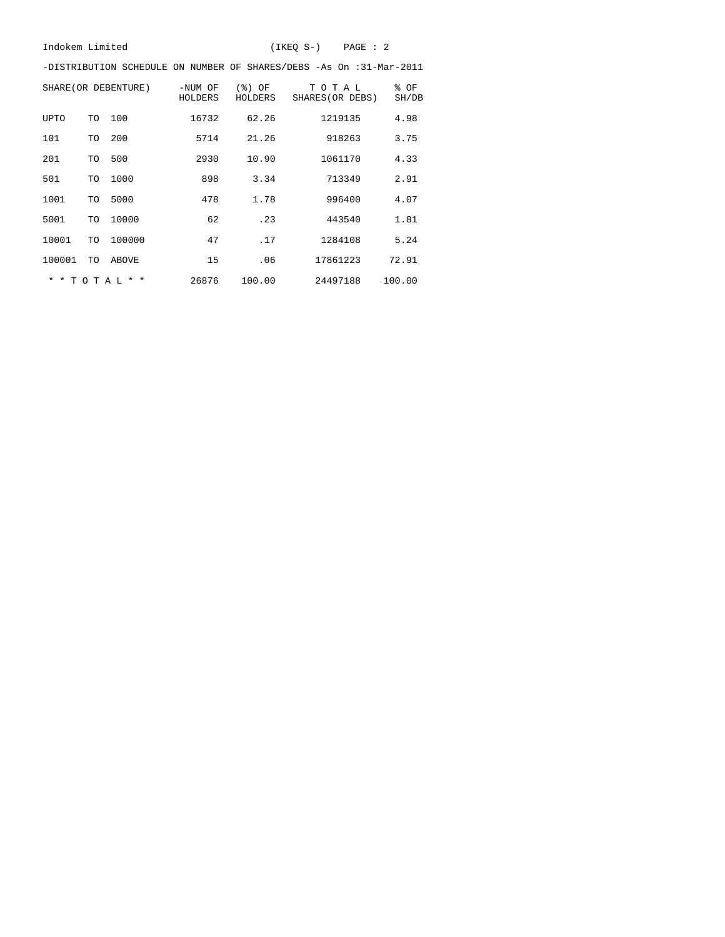-DISTRIBUTION SCHEDULE ON NUMBER OF SHARES/DEBS -As On :31-Mar-2011

|                    |       | SHARE (OR DEBENTURE) | -NUM OF<br>HOLDERS | $(%)$ OF<br>HOLDERS | TOTAL<br>SHARES (OR DEBS) | % OF<br>SH/DB |
|--------------------|-------|----------------------|--------------------|---------------------|---------------------------|---------------|
| <b>UPTO</b>        | TO    | 100                  | 16732              | 62.26               | 1219135                   | 4.98          |
| 101                | TO    | 200                  | 5714               | 21.26               | 918263                    | 3.75          |
| 201                | TO    | 500                  | 2930               | 10.90               | 1061170                   | 4.33          |
| 501                | TO    | 1000                 | 898                | 3.34                | 713349                    | 2.91          |
| 1001               | TO    | 5000                 | 478                | 1.78                | 996400                    | 4.07          |
| 5001               | TO    | 10000                | 62                 | .23                 | 443540                    | 1.81          |
| 10001              | TO    | 100000               | 47                 | .17                 | 1284108                   | 5.24          |
| 100001             | TO    | ABOVE                | 15                 | .06                 | 17861223                  | 72.91         |
| $\star$<br>$\star$ | TOTAL | $\star$ $\star$      | 26876              | 100.00              | 24497188                  | 100.00        |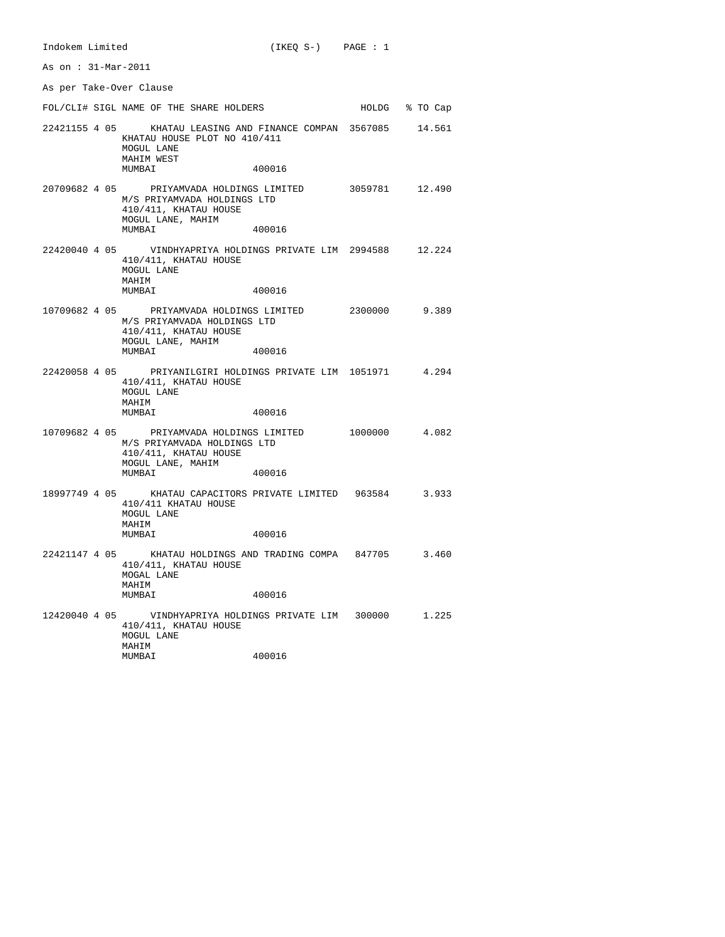As on : 31-Mar-2011 As per Take-Over Clause FOL/CLI# SIGL NAME OF THE SHARE HOLDERS HOLDG % TO Cap 22421155 4 05 KHATAU LEASING AND FINANCE COMPAN 3567085 14.561 KHATAU HOUSE PLOT NO 410/411 MOGUL LANE MAHIM WEST MUMBAI 400016 20709682 4 05 PRIYAMVADA HOLDINGS LIMITED 3059781 12.490 M/S PRIYAMVADA HOLDINGS LTD 410/411, KHATAU HOUSE MOGUL LANE, MAHIM MUMBAI 400016 22420040 4 05 VINDHYAPRIYA HOLDINGS PRIVATE LIM 2994588 12.224 410/411, KHATAU HOUSE MOGUL LANE MAHIM 400016 10709682 4 05 PRIYAMVADA HOLDINGS LIMITED 2300000 9.389 M/S PRIYAMVADA HOLDINGS LTD 410/411, KHATAU HOUSE MOGUL LANE, MAHIM 400016 22420058 4 05 PRIYANILGIRI HOLDINGS PRIVATE LIM 1051971 4.294 410/411, KHATAU HOUSE MOGUL LANE MAHIM MUMBAI 400016 10709682 4 05 PRIYAMVADA HOLDINGS LIMITED 1000000 4.082 M/S PRIYAMVADA HOLDINGS LTD 410/411, KHATAU HOUSE MOGUL LANE, MAHIM 400016 18997749 4 05 KHATAU CAPACITORS PRIVATE LIMITED 963584 3.933 410/411 KHATAU HOUSE MOGUL LANE MAHIM<br>MUMBAI 400016 22421147 4 05 KHATAU HOLDINGS AND TRADING COMPA 847705 3.460 410/411, KHATAU HOUSE MOGAL LANE MAHIM MUMBAI 400016 12420040 4 05 VINDHYAPRIYA HOLDINGS PRIVATE LIM 300000 1.225 410/411, KHATAU HOUSE MOGUL LANE MAHIM<br>MUMBAI 400016

Indokem Limited (IKEQ S-) PAGE : 1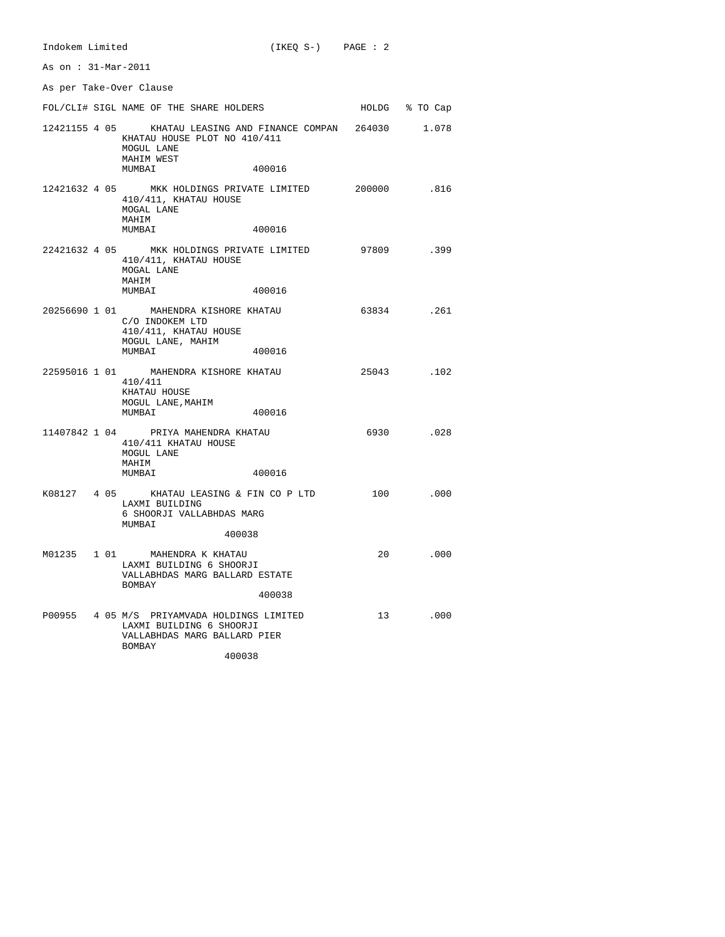| As on: 31-Mar-2011      |                                                                                                                                              |                |
|-------------------------|----------------------------------------------------------------------------------------------------------------------------------------------|----------------|
| As per Take-Over Clause |                                                                                                                                              |                |
|                         | FOL/CLI# SIGL NAME OF THE SHARE HOLDERS                                                                                                      | HOLDG % TO Cap |
|                         | 12421155 4 05 KHATAU LEASING AND FINANCE COMPAN 264030 1.078<br>KHATAU HOUSE PLOT NO 410/411<br>MOGUL LANE<br>MAHIM WEST<br>400016<br>MUMBAI |                |
|                         | 12421632 4 05 MKK HOLDINGS PRIVATE LIMITED 200000 816<br>410/411, KHATAU HOUSE<br>MOGAL LANE                                                 |                |
|                         | MAHIM<br>400016<br>MUMBAI                                                                                                                    |                |
|                         | 22421632 4 05 MKK HOLDINGS PRIVATE LIMITED 97809 .399<br>410/411, KHATAU HOUSE<br>MOGAL LANE<br>MAHIM                                        |                |
|                         | 400016<br>MUMBAI                                                                                                                             |                |
|                         | 20256690 1 01 MAHENDRA KISHORE KHATAU<br>C/O INDOKEM LTD<br>410/411, KHATAU HOUSE<br>MOGUL LANE, MAHIM<br>MUMBAI<br>400016                   | 63834.261      |
|                         | 22595016 1 01 MAHENDRA KISHORE KHATAU<br>410/411<br>KHATAU HOUSE<br>MOGUL LANE, MAHIM<br>MUMBAI<br>400016                                    | 25043.102      |
|                         | 11407842 1 04 PRIYA MAHENDRA KHATAU<br>410/411 KHATAU HOUSE<br>MOGUL LANE                                                                    | 6930.028       |
|                         | MAHIM<br>MUMBAI<br>400016                                                                                                                    |                |
|                         | K08127 4 05 KHATAU LEASING & FIN CO P LTD<br>LAXMI BUILDING<br>6 SHOORJI VALLABHDAS MARG<br>MUMBAI                                           | 100 .000       |
|                         | 400038                                                                                                                                       |                |
|                         | M01235 1 01 MAHENDRA K KHATAU<br>LAXMI BUILDING 6 SHOORJI<br>VALLABHDAS MARG BALLARD ESTATE<br>BOMBAY                                        | 20 .000        |
|                         | 400038                                                                                                                                       |                |
|                         | P00955 4 05 M/S PRIYAMVADA HOLDINGS LIMITED<br>LAXMI BUILDING 6 SHOORJI<br>VALLABHDAS MARG BALLARD PIER<br><b>BOMBAY</b>                     | 13<br>.000     |
|                         | 400038                                                                                                                                       |                |

Indokem Limited (IKEQ S-) PAGE : 2